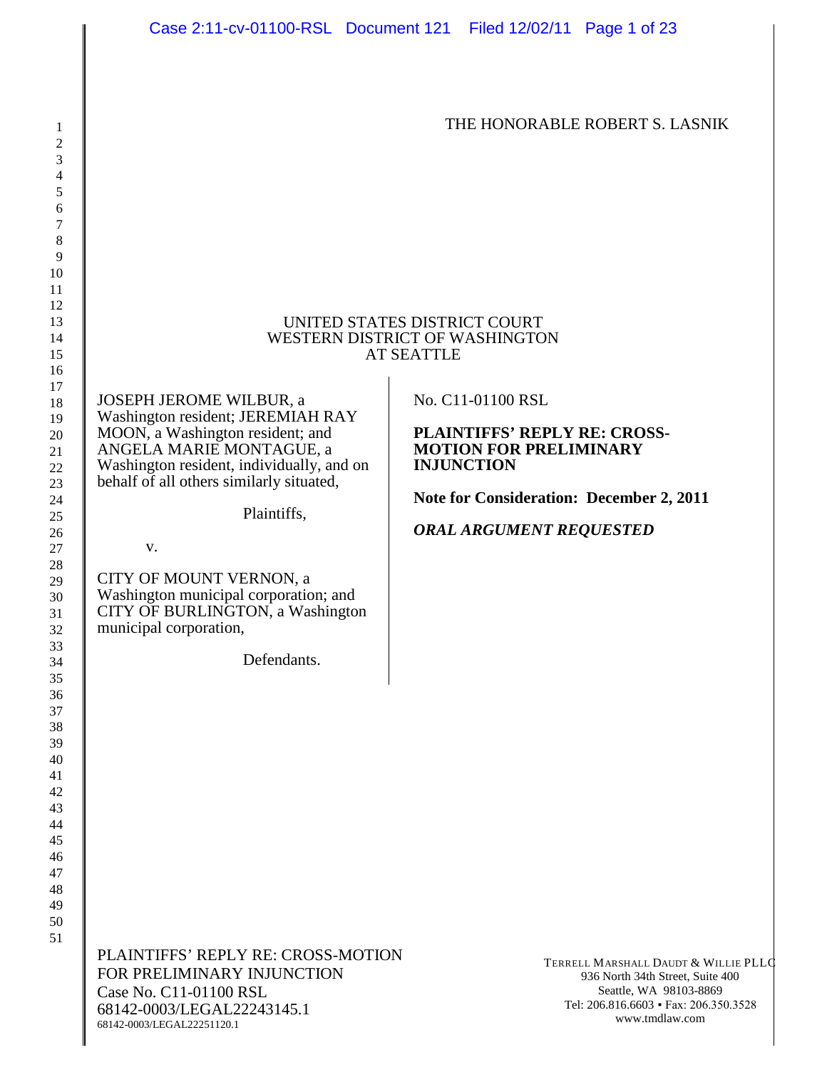THE HONORABLE ROBERT S. LASNIK

#### UNITED STATES DISTRICT COURT WESTERN DISTRICT OF WASHINGTON AT SEATTLE

JOSEPH JEROME WILBUR, a Washington resident; JEREMIAH RAY MOON, a Washington resident; and ANGELA MARIE MONTAGUE, a Washington resident, individually, and on behalf of all others similarly situated,

Plaintiffs,

v.

CITY OF MOUNT VERNON, a Washington municipal corporation; and CITY OF BURLINGTON, a Washington municipal corporation,

Defendants.

No. C11-01100 RSL

**PLAINTIFFS' REPLY RE: CROSS-MOTION FOR PRELIMINARY INJUNCTION** 

**Note for Consideration: December 2, 2011**

*ORAL ARGUMENT REQUESTED*

PLAINTIFFS' REPLY RE: CROSS-MOTION FOR PRELIMINARY INJUNCTION Case No. C11-01100 RSL 68142-0003/LEGAL22243145.1 68142-0003/LEGAL22251120.1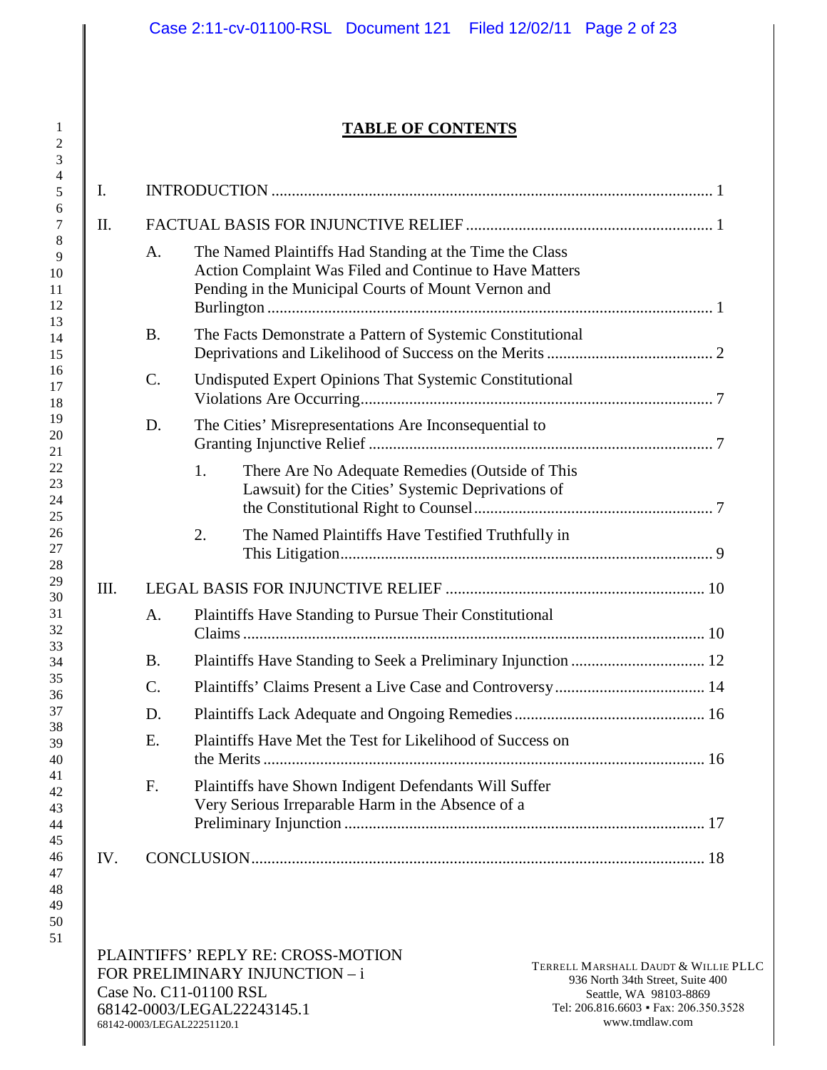# **TABLE OF CONTENTS**

| I.   |           |                                                                                                                                                                           |  |  |  |
|------|-----------|---------------------------------------------------------------------------------------------------------------------------------------------------------------------------|--|--|--|
| II.  |           |                                                                                                                                                                           |  |  |  |
|      | A.        | The Named Plaintiffs Had Standing at the Time the Class<br>Action Complaint Was Filed and Continue to Have Matters<br>Pending in the Municipal Courts of Mount Vernon and |  |  |  |
|      | <b>B.</b> | The Facts Demonstrate a Pattern of Systemic Constitutional                                                                                                                |  |  |  |
|      | C.        | Undisputed Expert Opinions That Systemic Constitutional                                                                                                                   |  |  |  |
|      | D.        | The Cities' Misrepresentations Are Inconsequential to                                                                                                                     |  |  |  |
|      |           | There Are No Adequate Remedies (Outside of This<br>1.<br>Lawsuit) for the Cities' Systemic Deprivations of                                                                |  |  |  |
|      |           | The Named Plaintiffs Have Testified Truthfully in<br>2.                                                                                                                   |  |  |  |
| III. |           |                                                                                                                                                                           |  |  |  |
|      | A.        | <b>Plaintiffs Have Standing to Pursue Their Constitutional</b>                                                                                                            |  |  |  |
|      | B.        |                                                                                                                                                                           |  |  |  |
|      | $C$ .     |                                                                                                                                                                           |  |  |  |
|      | D.        |                                                                                                                                                                           |  |  |  |
|      | E.        | Plaintiffs Have Met the Test for Likelihood of Success on                                                                                                                 |  |  |  |
|      | F.        | Plaintiffs have Shown Indigent Defendants Will Suffer<br>Very Serious Irreparable Harm in the Absence of a                                                                |  |  |  |
| IV.  |           |                                                                                                                                                                           |  |  |  |

51

> PLAINTIFFS' REPLY RE: CROSS-MOTION FOR PRELIMINARY INJUNCTION – i Case No. C11-01100 RSL 68142-0003/LEGAL22243145.1 68142-0003/LEGAL22251120.1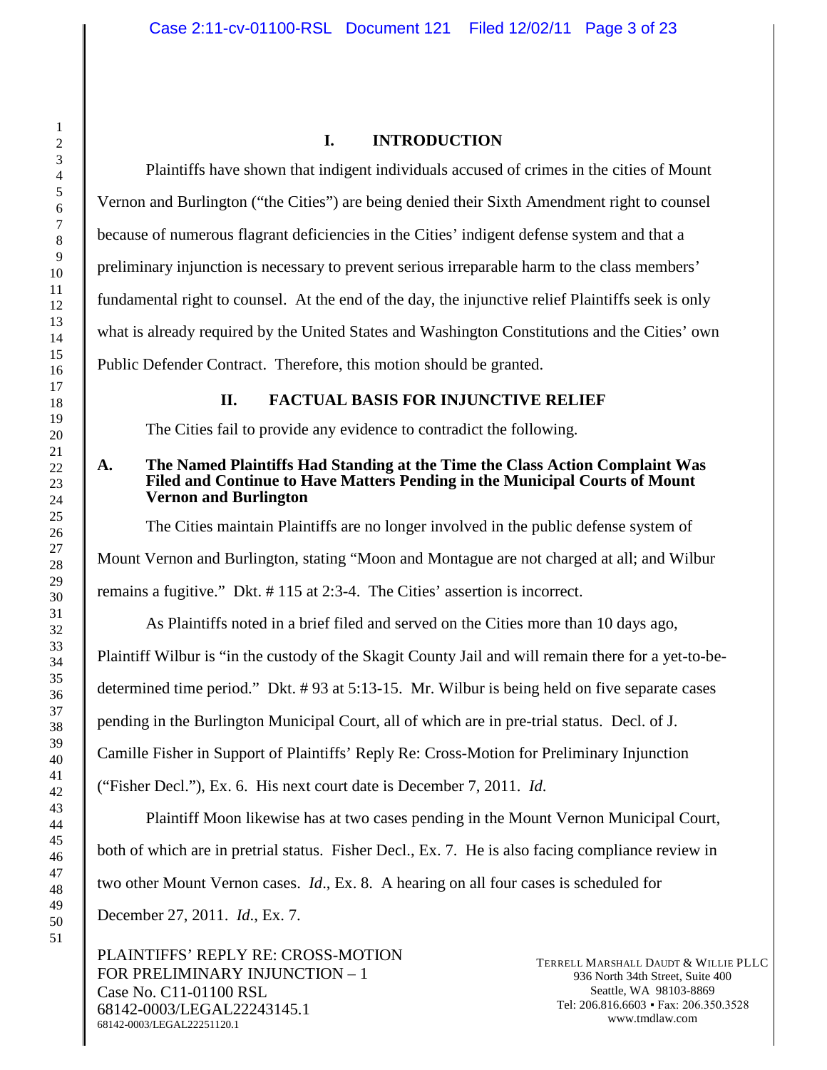# **I. INTRODUCTION**

Plaintiffs have shown that indigent individuals accused of crimes in the cities of Mount Vernon and Burlington ("the Cities") are being denied their Sixth Amendment right to counsel because of numerous flagrant deficiencies in the Cities' indigent defense system and that a preliminary injunction is necessary to prevent serious irreparable harm to the class members' fundamental right to counsel. At the end of the day, the injunctive relief Plaintiffs seek is only what is already required by the United States and Washington Constitutions and the Cities' own Public Defender Contract. Therefore, this motion should be granted.

# **II. FACTUAL BASIS FOR INJUNCTIVE RELIEF**

The Cities fail to provide any evidence to contradict the following.

# **A. The Named Plaintiffs Had Standing at the Time the Class Action Complaint Was Filed and Continue to Have Matters Pending in the Municipal Courts of Mount Vernon and Burlington**

The Cities maintain Plaintiffs are no longer involved in the public defense system of Mount Vernon and Burlington, stating "Moon and Montague are not charged at all; and Wilbur remains a fugitive." Dkt. # 115 at 2:3-4. The Cities' assertion is incorrect.

As Plaintiffs noted in a brief filed and served on the Cities more than 10 days ago, Plaintiff Wilbur is "in the custody of the Skagit County Jail and will remain there for a yet-to-bedetermined time period." Dkt. # 93 at 5:13-15. Mr. Wilbur is being held on five separate cases pending in the Burlington Municipal Court, all of which are in pre-trial status. Decl. of J. Camille Fisher in Support of Plaintiffs' Reply Re: Cross-Motion for Preliminary Injunction ("Fisher Decl."), Ex. 6. His next court date is December 7, 2011. *Id*.

Plaintiff Moon likewise has at two cases pending in the Mount Vernon Municipal Court, both of which are in pretrial status. Fisher Decl., Ex. 7. He is also facing compliance review in two other Mount Vernon cases. *Id*., Ex. 8. A hearing on all four cases is scheduled for December 27, 2011. *Id*., Ex. 7.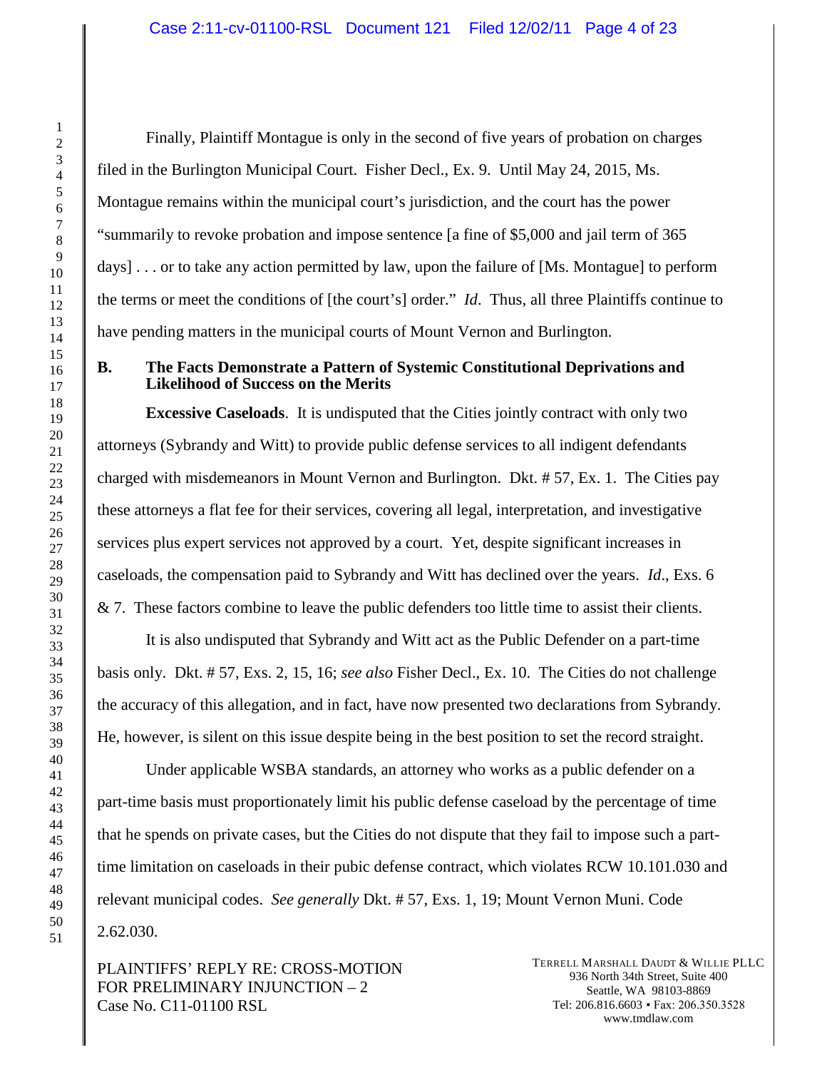Finally, Plaintiff Montague is only in the second of five years of probation on charges filed in the Burlington Municipal Court. Fisher Decl., Ex. 9. Until May 24, 2015, Ms. Montague remains within the municipal court's jurisdiction, and the court has the power "summarily to revoke probation and impose sentence [a fine of \$5,000 and jail term of 365 days] . . . or to take any action permitted by law, upon the failure of [Ms. Montague] to perform the terms or meet the conditions of [the court's] order." *Id*. Thus, all three Plaintiffs continue to have pending matters in the municipal courts of Mount Vernon and Burlington.

### **B. The Facts Demonstrate a Pattern of Systemic Constitutional Deprivations and Likelihood of Success on the Merits**

**Excessive Caseloads**. It is undisputed that the Cities jointly contract with only two attorneys (Sybrandy and Witt) to provide public defense services to all indigent defendants charged with misdemeanors in Mount Vernon and Burlington. Dkt. # 57, Ex. 1. The Cities pay these attorneys a flat fee for their services, covering all legal, interpretation, and investigative services plus expert services not approved by a court. Yet, despite significant increases in caseloads, the compensation paid to Sybrandy and Witt has declined over the years. *Id*., Exs. 6 & 7. These factors combine to leave the public defenders too little time to assist their clients.

It is also undisputed that Sybrandy and Witt act as the Public Defender on a part-time basis only. Dkt. # 57, Exs. 2, 15, 16; *see also* Fisher Decl., Ex. 10. The Cities do not challenge the accuracy of this allegation, and in fact, have now presented two declarations from Sybrandy. He, however, is silent on this issue despite being in the best position to set the record straight.

Under applicable WSBA standards, an attorney who works as a public defender on a part-time basis must proportionately limit his public defense caseload by the percentage of time that he spends on private cases, but the Cities do not dispute that they fail to impose such a parttime limitation on caseloads in their pubic defense contract, which violates RCW 10.101.030 and relevant municipal codes. *See generally* Dkt. # 57, Exs. 1, 19; Mount Vernon Muni. Code 2.62.030.

PLAINTIFFS' REPLY RE: CROSS-MOTION FOR PRELIMINARY INJUNCTION – 2 Case No. C11-01100 RSL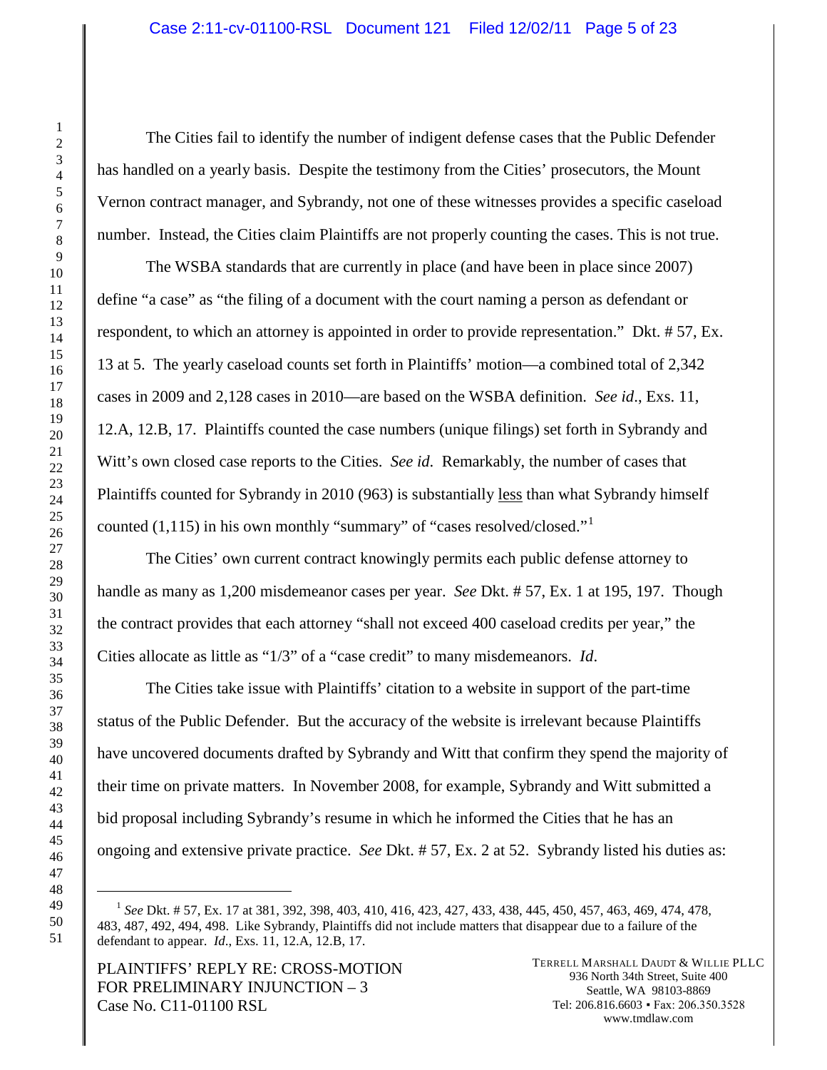The Cities fail to identify the number of indigent defense cases that the Public Defender has handled on a yearly basis. Despite the testimony from the Cities' prosecutors, the Mount Vernon contract manager, and Sybrandy, not one of these witnesses provides a specific caseload number. Instead, the Cities claim Plaintiffs are not properly counting the cases. This is not true.

The WSBA standards that are currently in place (and have been in place since 2007) define "a case" as "the filing of a document with the court naming a person as defendant or respondent, to which an attorney is appointed in order to provide representation." Dkt. # 57, Ex. 13 at 5. The yearly caseload counts set forth in Plaintiffs' motion—a combined total of 2,342 cases in 2009 and 2,128 cases in 2010—are based on the WSBA definition. *See id*., Exs. 11, 12.A, 12.B, 17. Plaintiffs counted the case numbers (unique filings) set forth in Sybrandy and Witt's own closed case reports to the Cities. *See id*. Remarkably, the number of cases that Plaintiffs counted for Sybrandy in 2010 (963) is substantially less than what Sybrandy himself counted  $(1,115)$  $(1,115)$  $(1,115)$  in his own monthly "summary" of "cases resolved/closed."

The Cities' own current contract knowingly permits each public defense attorney to handle as many as 1,200 misdemeanor cases per year. *See* Dkt. # 57, Ex. 1 at 195, 197. Though the contract provides that each attorney "shall not exceed 400 caseload credits per year," the Cities allocate as little as "1/3" of a "case credit" to many misdemeanors. *Id*.

The Cities take issue with Plaintiffs' citation to a website in support of the part-time status of the Public Defender. But the accuracy of the website is irrelevant because Plaintiffs have uncovered documents drafted by Sybrandy and Witt that confirm they spend the majority of their time on private matters. In November 2008, for example, Sybrandy and Witt submitted a bid proposal including Sybrandy's resume in which he informed the Cities that he has an ongoing and extensive private practice. *See* Dkt. # 57, Ex. 2 at 52. Sybrandy listed his duties as:

PLAINTIFFS' REPLY RE: CROSS-MOTION FOR PRELIMINARY INJUNCTION – 3 Case No. C11-01100 RSL

<span id="page-4-0"></span> *See* Dkt. # 57, Ex. 17 at 381, 392, 398, 403, 410, 416, 423, 427, 433, 438, 445, 450, 457, 463, 469, 474, 478, 483, 487, 492, 494, 498. Like Sybrandy, Plaintiffs did not include matters that disappear due to a failure of the defendant to appear. *Id*., Exs. 11, 12.A, 12.B, 17.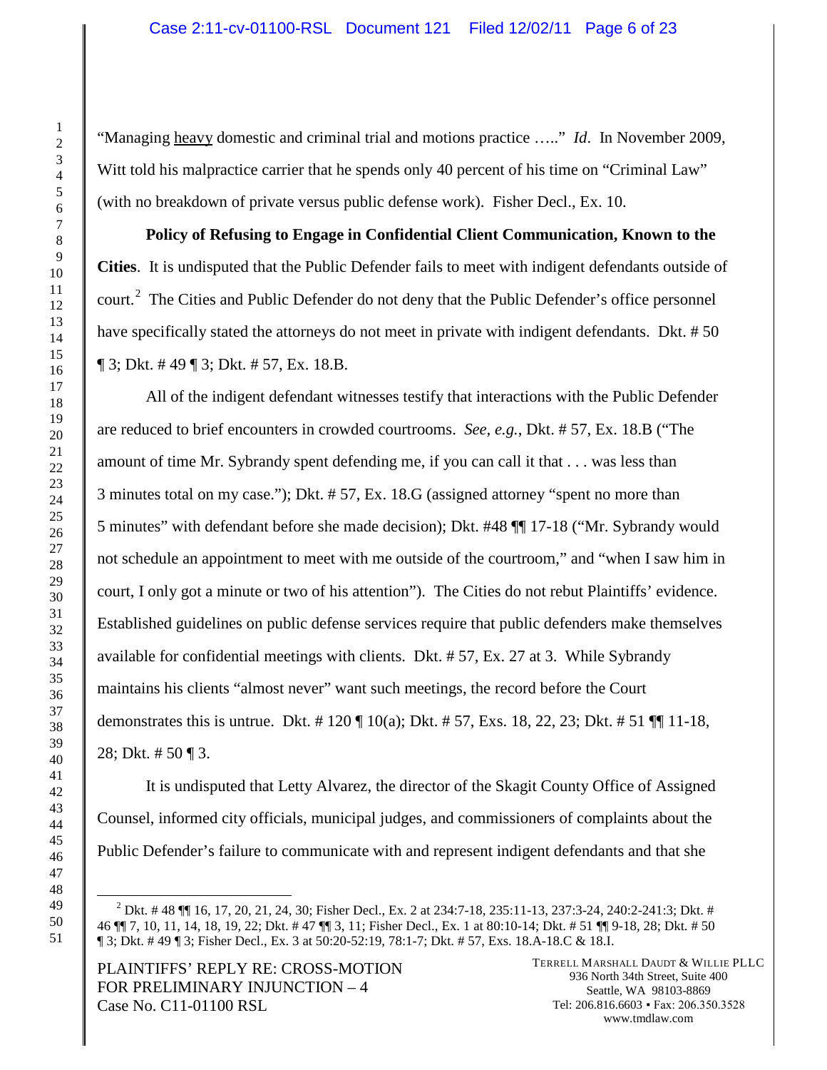"Managing heavy domestic and criminal trial and motions practice ….." *Id*. In November 2009, Witt told his malpractice carrier that he spends only 40 percent of his time on "Criminal Law" (with no breakdown of private versus public defense work). Fisher Decl., Ex. 10.

**Policy of Refusing to Engage in Confidential Client Communication, Known to the Cities**. It is undisputed that the Public Defender fails to meet with indigent defendants outside of court.<sup>[2](#page-5-0)</sup> The Cities and Public Defender do not deny that the Public Defender's office personnel have specifically stated the attorneys do not meet in private with indigent defendants. Dkt. #50  $\P$  3; Dkt. #49  $\P$  3; Dkt. #57, Ex. 18.B.

All of the indigent defendant witnesses testify that interactions with the Public Defender are reduced to brief encounters in crowded courtrooms. *See, e.g.*, Dkt. # 57, Ex. 18.B ("The amount of time Mr. Sybrandy spent defending me, if you can call it that . . . was less than minutes total on my case."); Dkt. # 57, Ex. 18.G (assigned attorney "spent no more than minutes" with defendant before she made decision); Dkt. #48 ¶¶ 17-18 ("Mr. Sybrandy would not schedule an appointment to meet with me outside of the courtroom," and "when I saw him in court, I only got a minute or two of his attention"). The Cities do not rebut Plaintiffs' evidence. Established guidelines on public defense services require that public defenders make themselves available for confidential meetings with clients. Dkt. # 57, Ex. 27 at 3. While Sybrandy maintains his clients "almost never" want such meetings, the record before the Court demonstrates this is untrue. Dkt. # 120 ¶ 10(a); Dkt. # 57, Exs. 18, 22, 23; Dkt. # 51 ¶¶ 11-18, 28; Dkt. # 50 ¶ 3.

It is undisputed that Letty Alvarez, the director of the Skagit County Office of Assigned Counsel, informed city officials, municipal judges, and commissioners of complaints about the Public Defender's failure to communicate with and represent indigent defendants and that she

PLAINTIFFS' REPLY RE: CROSS-MOTION FOR PRELIMINARY INJUNCTION – 4 Case No. C11-01100 RSL

<span id="page-5-0"></span> $^2$  Dkt. # 48  $\P$  16, 17, 20, 21, 24, 30; Fisher Decl., Ex. 2 at 234:7-18, 235:11-13, 237:3-24, 240:2-241:3; Dkt. # 46 ¶¶ 7, 10, 11, 14, 18, 19, 22; Dkt. # 47 ¶¶ 3, 11; Fisher Decl., Ex. 1 at 80:10-14; Dkt. # 51 ¶¶ 9-18, 28; Dkt. # 50 ¶ 3; Dkt. # 49 ¶ 3; Fisher Decl., Ex. 3 at 50:20-52:19, 78:1-7; Dkt. # 57, Exs. 18.A-18.C & 18.I.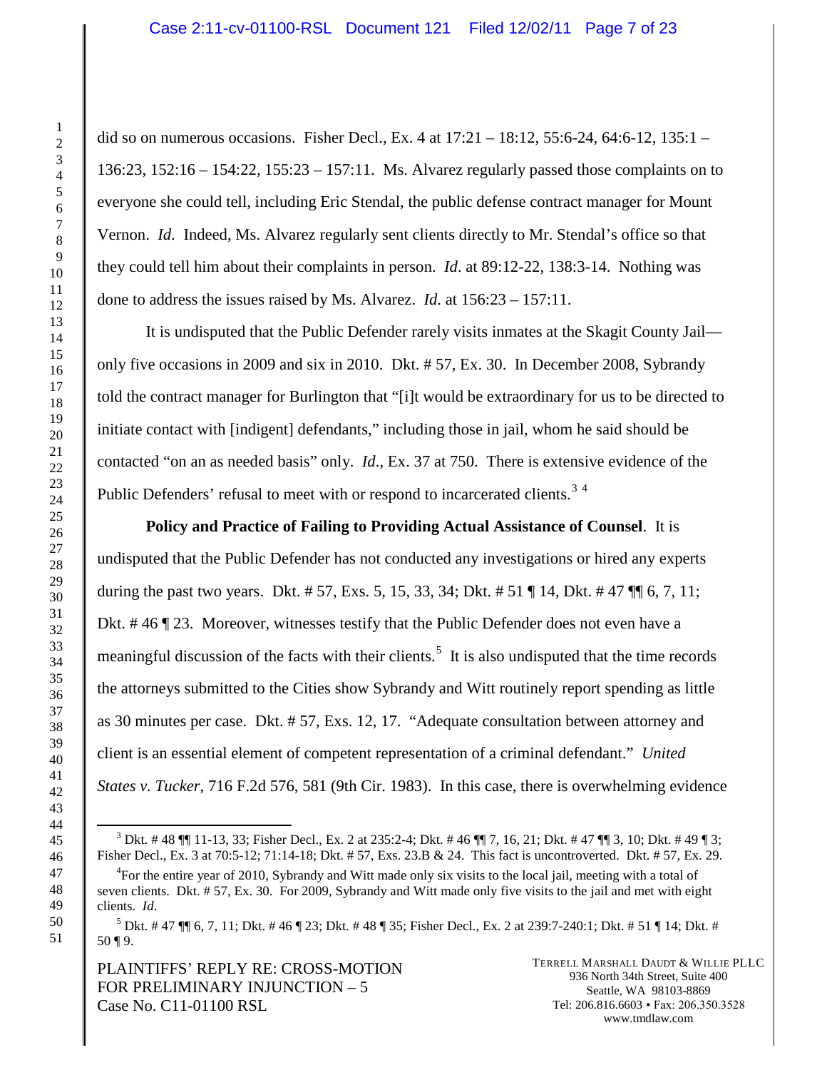did so on numerous occasions. Fisher Decl., Ex. 4 at 17:21 – 18:12, 55:6-24, 64:6-12, 135:1 – 136:23, 152:16 – 154:22, 155:23 – 157:11. Ms. Alvarez regularly passed those complaints on to everyone she could tell, including Eric Stendal, the public defense contract manager for Mount Vernon. *Id*. Indeed, Ms. Alvarez regularly sent clients directly to Mr. Stendal's office so that they could tell him about their complaints in person. *Id*. at 89:12-22, 138:3-14. Nothing was done to address the issues raised by Ms. Alvarez. *Id*. at 156:23 – 157:11.

It is undisputed that the Public Defender rarely visits inmates at the Skagit County Jail only five occasions in 2009 and six in 2010. Dkt. # 57, Ex. 30. In December 2008, Sybrandy told the contract manager for Burlington that "[i]t would be extraordinary for us to be directed to initiate contact with [indigent] defendants," including those in jail, whom he said should be contacted "on an as needed basis" only. *Id*., Ex. 37 at 750. There is extensive evidence of the Public Defenders' refusal to meet with or respond to incarcerated clients.<sup>[3](#page-6-0)[4](#page-6-1)</sup>

**Policy and Practice of Failing to Providing Actual Assistance of Counsel**. It is undisputed that the Public Defender has not conducted any investigations or hired any experts during the past two years. Dkt. # 57, Exs. 5, 15, 33, 34; Dkt. # 51 ¶ 14, Dkt. # 47 ¶¶ 6, 7, 11; Dkt. # 46 ¶ 23. Moreover, witnesses testify that the Public Defender does not even have a meaningful discussion of the facts with their clients.<sup>[5](#page-6-2)</sup> It is also undisputed that the time records the attorneys submitted to the Cities show Sybrandy and Witt routinely report spending as little as 30 minutes per case. Dkt. # 57, Exs. 12, 17. "Adequate consultation between attorney and client is an essential element of competent representation of a criminal defendant." *United States v. Tucker*, 716 F.2d 576, 581 (9th Cir. 1983). In this case, there is overwhelming evidence

PLAINTIFFS' REPLY RE: CROSS-MOTION FOR PRELIMINARY INJUNCTION – 5 Case No. C11-01100 RSL

<span id="page-6-0"></span><sup>&</sup>lt;sup>3</sup> Dkt. # 48  $\P$  11-13, 33; Fisher Decl., Ex. 2 at 235:2-4; Dkt. # 46  $\P$  7, 16, 21; Dkt. # 47  $\P$  3, 10; Dkt. # 49  $\P$  3; Fisher Decl., Ex. 3 at 70:5-12; 71:14-18; Dkt. # 57, Exs. 23.B & 24. This fact is uncontroverted. Dkt. # 57, Ex. 29.

<span id="page-6-1"></span><sup>&</sup>lt;sup>4</sup>For the entire year of 2010, Sybrandy and Witt made only six visits to the local jail, meeting with a total of seven clients. Dkt. # 57, Ex. 30. For 2009, Sybrandy and Witt made only five visits to the jail and met with eight clients. *Id*.

<span id="page-6-2"></span> $^5$  Dkt. # 47  $\P$   $\parallel$  6, 7, 11; Dkt. # 46  $\P$  23; Dkt. # 48  $\P$  35; Fisher Decl., Ex. 2 at 239:7-240:1; Dkt. # 51  $\P$  14; Dkt. # 50 ¶ 9.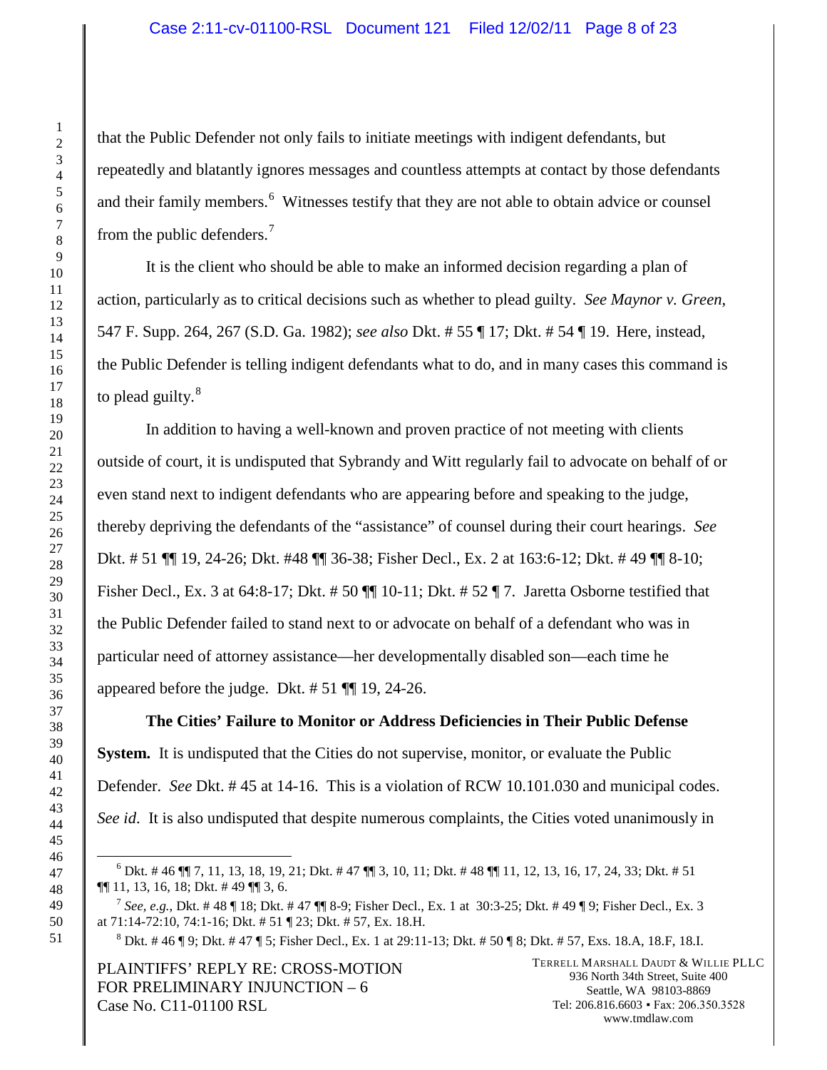#### Case 2:11-cv-01100-RSL Document 121 Filed 12/02/11 Page 8 of 23

that the Public Defender not only fails to initiate meetings with indigent defendants, but repeatedly and blatantly ignores messages and countless attempts at contact by those defendants and their family members.<sup>[6](#page-7-0)</sup> Witnesses testify that they are not able to obtain advice or counsel from the public defenders.<sup>[7](#page-7-1)</sup>

It is the client who should be able to make an informed decision regarding a plan of action, particularly as to critical decisions such as whether to plead guilty. *See Maynor v. Green*, 547 F. Supp. 264, 267 (S.D. Ga. 1982); *see also* Dkt. # 55 ¶ 17; Dkt. # 54 ¶ 19. Here, instead, the Public Defender is telling indigent defendants what to do, and in many cases this command is to plead guilty.<sup>[8](#page-7-2)</sup>

In addition to having a well-known and proven practice of not meeting with clients outside of court, it is undisputed that Sybrandy and Witt regularly fail to advocate on behalf of or even stand next to indigent defendants who are appearing before and speaking to the judge, thereby depriving the defendants of the "assistance" of counsel during their court hearings. *See* Dkt. # 51 ¶¶ 19, 24-26; Dkt. #48 ¶¶ 36-38; Fisher Decl., Ex. 2 at 163:6-12; Dkt. # 49 ¶¶ 8-10; Fisher Decl., Ex. 3 at 64:8-17; Dkt. # 50  $\P$  $\P$  10-11; Dkt. # 52  $\P$  7. Jaretta Osborne testified that the Public Defender failed to stand next to or advocate on behalf of a defendant who was in particular need of attorney assistance—her developmentally disabled son—each time he appeared before the judge. Dkt. # 51 ¶¶ 19, 24-26.

**The Cities' Failure to Monitor or Address Deficiencies in Their Public Defense System.** It is undisputed that the Cities do not supervise, monitor, or evaluate the Public Defender. *See* Dkt. # 45 at 14-16. This is a violation of RCW 10.101.030 and municipal codes. *See id*. It is also undisputed that despite numerous complaints, the Cities voted unanimously in

<span id="page-7-2"></span>PLAINTIFFS' REPLY RE: CROSS-MOTION FOR PRELIMINARY INJUNCTION – 6 Case No. C11-01100 RSL

<span id="page-7-0"></span> Dkt. # 46  $\P$  7, 11, 13, 18, 19, 21; Dkt. # 47  $\P$  3, 10, 11; Dkt. # 48  $\P$  11, 12, 13, 16, 17, 24, 33; Dkt. # 51 ¶¶ 11, 13, 16, 18; Dkt. # 49 ¶¶ 3, 6.

<span id="page-7-1"></span><sup>&</sup>lt;sup>7</sup> *See, e.g.*, Dkt. # 48 ¶ 18; Dkt. # 47 ¶¶ 8-9; Fisher Decl., Ex. 1 at 30:3-25; Dkt. # 49 ¶ 9; Fisher Decl., Ex. 3 at 71:14-72:10, 74:1-16; Dkt. # 51 ¶ 23; Dkt. # 57, Ex. 18.H.

Dkt. # 46 ¶ 9; Dkt. # 47 ¶ 5; Fisher Decl., Ex. 1 at 29:11-13; Dkt. # 50 ¶ 8; Dkt. # 57, Exs. 18.A, 18.F, 18.I.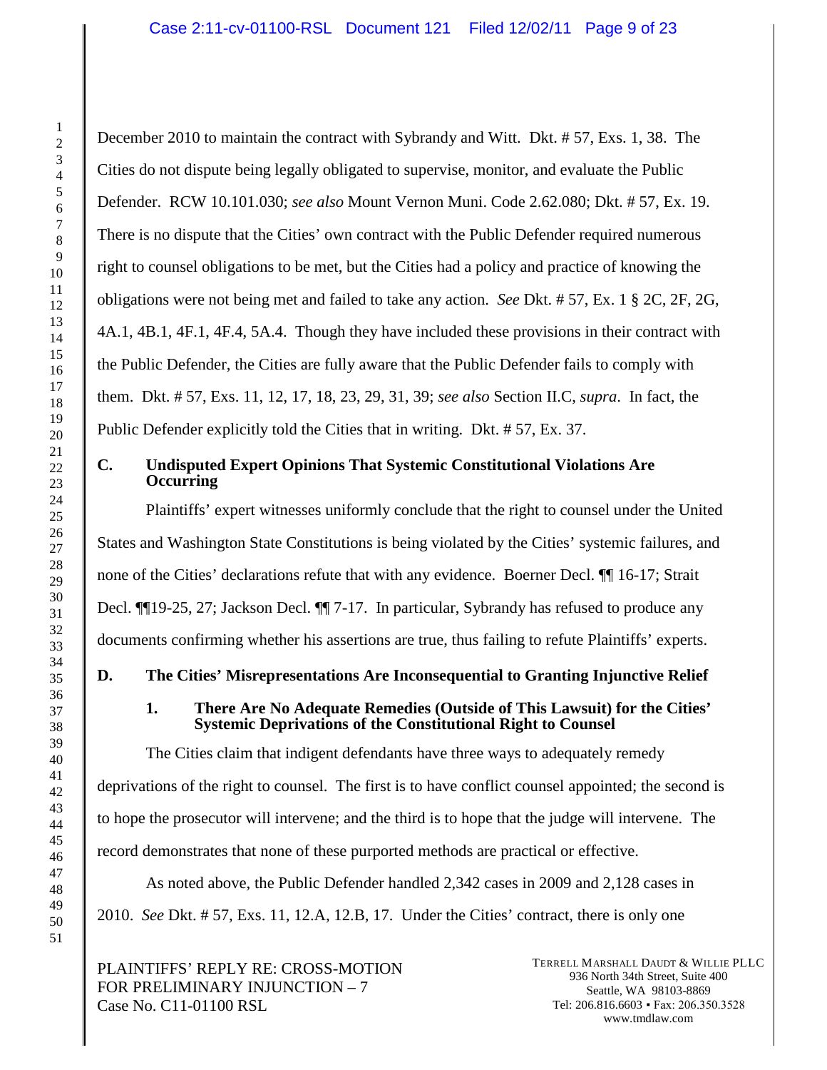December 2010 to maintain the contract with Sybrandy and Witt. Dkt. # 57, Exs. 1, 38. The Cities do not dispute being legally obligated to supervise, monitor, and evaluate the Public Defender. RCW 10.101.030; *see also* Mount Vernon Muni. Code 2.62.080; Dkt. # 57, Ex. 19. There is no dispute that the Cities' own contract with the Public Defender required numerous right to counsel obligations to be met, but the Cities had a policy and practice of knowing the obligations were not being met and failed to take any action. *See* Dkt. # 57, Ex. 1 § 2C, 2F, 2G, 4A.1, 4B.1, 4F.1, 4F.4, 5A.4. Though they have included these provisions in their contract with the Public Defender, the Cities are fully aware that the Public Defender fails to comply with them. Dkt. # 57, Exs. 11, 12, 17, 18, 23, 29, 31, 39; *see also* Section II.C, *supra*. In fact, the Public Defender explicitly told the Cities that in writing. Dkt. # 57, Ex. 37.

# **C. Undisputed Expert Opinions That Systemic Constitutional Violations Are Occurring**

Plaintiffs' expert witnesses uniformly conclude that the right to counsel under the United States and Washington State Constitutions is being violated by the Cities' systemic failures, and none of the Cities' declarations refute that with any evidence. Boerner Decl. ¶¶ 16-17; Strait Decl. ¶¶19-25, 27; Jackson Decl. ¶¶ 7-17. In particular, Sybrandy has refused to produce any documents confirming whether his assertions are true, thus failing to refute Plaintiffs' experts.

# **D. The Cities' Misrepresentations Are Inconsequential to Granting Injunctive Relief**

# **1. There Are No Adequate Remedies (Outside of This Lawsuit) for the Cities' Systemic Deprivations of the Constitutional Right to Counsel**

The Cities claim that indigent defendants have three ways to adequately remedy deprivations of the right to counsel. The first is to have conflict counsel appointed; the second is to hope the prosecutor will intervene; and the third is to hope that the judge will intervene. The record demonstrates that none of these purported methods are practical or effective.

As noted above, the Public Defender handled 2,342 cases in 2009 and 2,128 cases in 2010. *See* Dkt. # 57, Exs. 11, 12.A, 12.B, 17. Under the Cities' contract, there is only one

PLAINTIFFS' REPLY RE: CROSS-MOTION FOR PRELIMINARY INJUNCTION – 7 Case No. C11-01100 RSL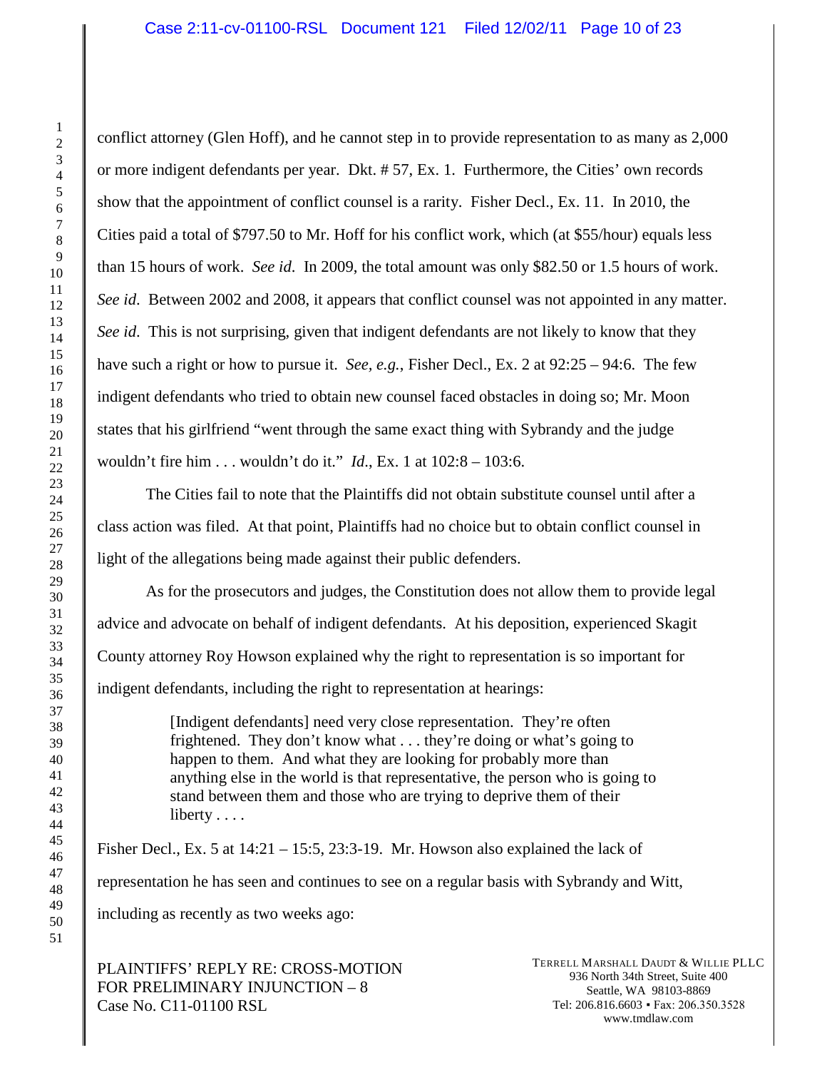conflict attorney (Glen Hoff), and he cannot step in to provide representation to as many as 2,000 or more indigent defendants per year. Dkt. # 57, Ex. 1. Furthermore, the Cities' own records show that the appointment of conflict counsel is a rarity. Fisher Decl., Ex. 11. In 2010, the Cities paid a total of \$797.50 to Mr. Hoff for his conflict work, which (at \$55/hour) equals less than 15 hours of work. *See id*. In 2009, the total amount was only \$82.50 or 1.5 hours of work. *See id*. Between 2002 and 2008, it appears that conflict counsel was not appointed in any matter. *See id*. This is not surprising, given that indigent defendants are not likely to know that they have such a right or how to pursue it. *See, e.g.*, Fisher Decl., Ex. 2 at 92:25 – 94:6. The few indigent defendants who tried to obtain new counsel faced obstacles in doing so; Mr. Moon states that his girlfriend "went through the same exact thing with Sybrandy and the judge wouldn't fire him . . . wouldn't do it." *Id*., Ex. 1 at 102:8 – 103:6.

The Cities fail to note that the Plaintiffs did not obtain substitute counsel until after a class action was filed. At that point, Plaintiffs had no choice but to obtain conflict counsel in light of the allegations being made against their public defenders.

As for the prosecutors and judges, the Constitution does not allow them to provide legal advice and advocate on behalf of indigent defendants. At his deposition, experienced Skagit County attorney Roy Howson explained why the right to representation is so important for indigent defendants, including the right to representation at hearings:

> [Indigent defendants] need very close representation. They're often frightened. They don't know what . . . they're doing or what's going to happen to them. And what they are looking for probably more than anything else in the world is that representative, the person who is going to stand between them and those who are trying to deprive them of their liberty . . . .

Fisher Decl., Ex. 5 at  $14:21 - 15:5$ ,  $23:3-19$ . Mr. Howson also explained the lack of representation he has seen and continues to see on a regular basis with Sybrandy and Witt, including as recently as two weeks ago:

PLAINTIFFS' REPLY RE: CROSS-MOTION FOR PRELIMINARY INJUNCTION – 8 Case No. C11-01100 RSL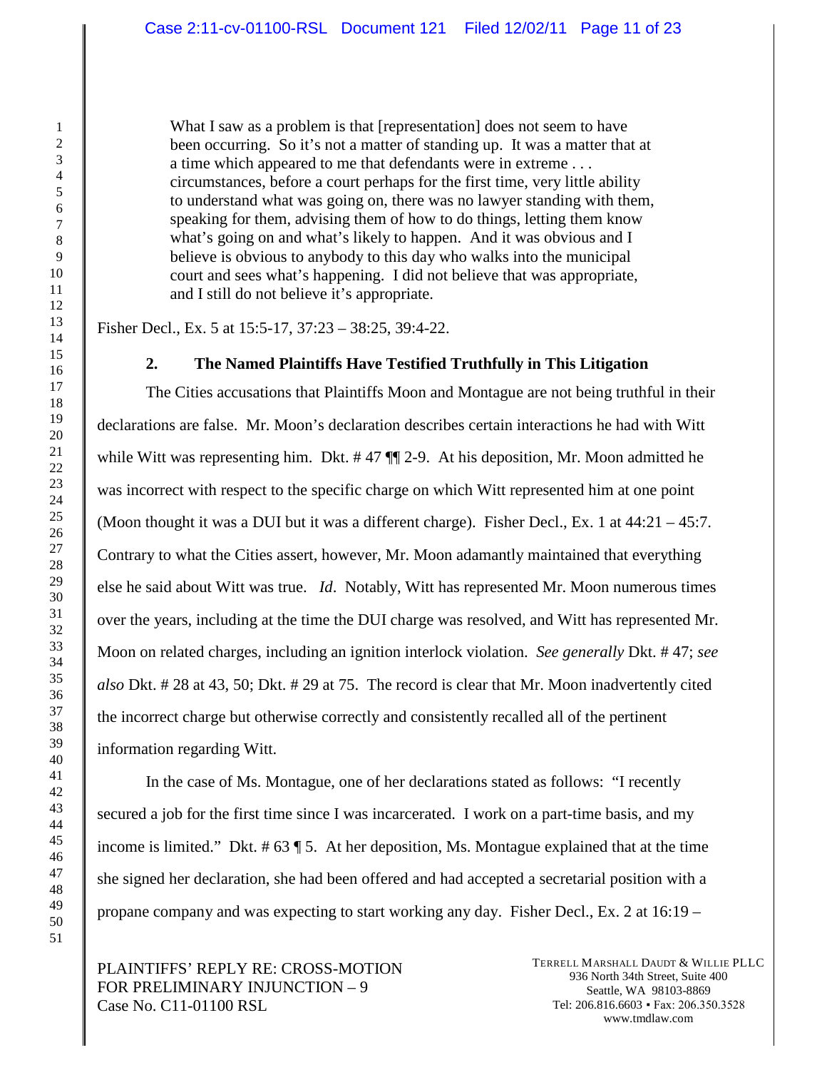What I saw as a problem is that [representation] does not seem to have been occurring. So it's not a matter of standing up. It was a matter that at a time which appeared to me that defendants were in extreme . . . circumstances, before a court perhaps for the first time, very little ability to understand what was going on, there was no lawyer standing with them, speaking for them, advising them of how to do things, letting them know what's going on and what's likely to happen. And it was obvious and I believe is obvious to anybody to this day who walks into the municipal court and sees what's happening. I did not believe that was appropriate, and I still do not believe it's appropriate.

Fisher Decl., Ex. 5 at 15:5-17, 37:23 – 38:25, 39:4-22.

#### **2. The Named Plaintiffs Have Testified Truthfully in This Litigation**

The Cities accusations that Plaintiffs Moon and Montague are not being truthful in their declarations are false. Mr. Moon's declaration describes certain interactions he had with Witt while Witt was representing him. Dkt. #47  $\P$  2-9. At his deposition, Mr. Moon admitted he was incorrect with respect to the specific charge on which Witt represented him at one point (Moon thought it was a DUI but it was a different charge). Fisher Decl., Ex. 1 at 44:21 – 45:7. Contrary to what the Cities assert, however, Mr. Moon adamantly maintained that everything else he said about Witt was true. *Id*. Notably, Witt has represented Mr. Moon numerous times over the years, including at the time the DUI charge was resolved, and Witt has represented Mr. Moon on related charges, including an ignition interlock violation. *See generally* Dkt. # 47; *see also* Dkt. # 28 at 43, 50; Dkt. # 29 at 75. The record is clear that Mr. Moon inadvertently cited the incorrect charge but otherwise correctly and consistently recalled all of the pertinent information regarding Witt.

In the case of Ms. Montague, one of her declarations stated as follows: "I recently secured a job for the first time since I was incarcerated. I work on a part-time basis, and my income is limited." Dkt.  $# 63 \P 5$ . At her deposition, Ms. Montague explained that at the time she signed her declaration, she had been offered and had accepted a secretarial position with a propane company and was expecting to start working any day. Fisher Decl., Ex. 2 at 16:19 –

PLAINTIFFS' REPLY RE: CROSS-MOTION FOR PRELIMINARY INJUNCTION – 9 Case No. C11-01100 RSL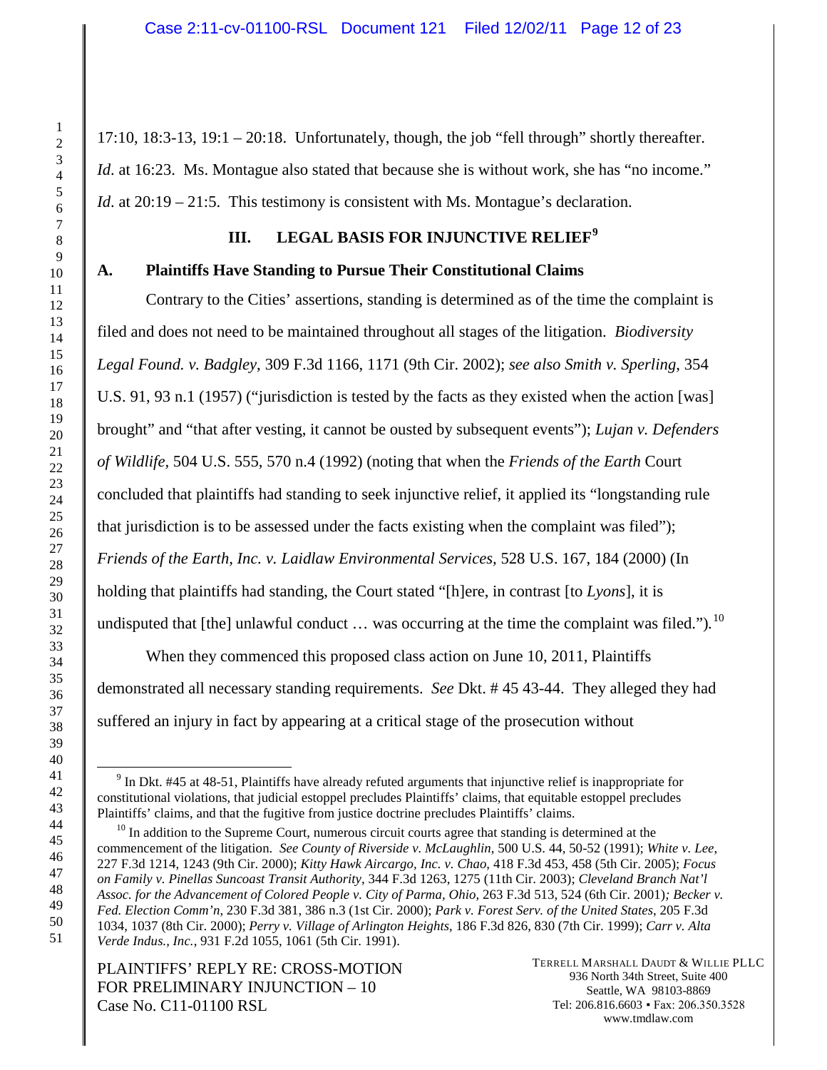$17:10$ ,  $18:3-13$ ,  $19:1-20:18$ . Unfortunately, though, the job "fell through" shortly thereafter. *Id.* at 16:23. Ms. Montague also stated that because she is without work, she has "no income." *Id.* at 20:19 – 21:5. This testimony is consistent with Ms. Montague's declaration.

# **III. LEGAL BASIS FOR INJUNCTIVE RELIEF[9](#page-11-0)**

### **A. Plaintiffs Have Standing to Pursue Their Constitutional Claims**

Contrary to the Cities' assertions, standing is determined as of the time the complaint is filed and does not need to be maintained throughout all stages of the litigation. *Biodiversity Legal Found. v. Badgley*, 309 F.3d 1166, 1171 (9th Cir. 2002); *see also Smith v. Sperling*, 354 U.S. 91, 93 n.1 (1957) ("jurisdiction is tested by the facts as they existed when the action [was] brought" and "that after vesting, it cannot be ousted by subsequent events"); *Lujan v. Defenders of Wildlife,* 504 U.S. 555, 570 n.4 (1992) (noting that when the *Friends of the Earth* Court concluded that plaintiffs had standing to seek injunctive relief, it applied its "longstanding rule that jurisdiction is to be assessed under the facts existing when the complaint was filed"); *Friends of the Earth, Inc. v. Laidlaw Environmental Services,* 528 U.S. 167, 184 (2000) (In holding that plaintiffs had standing, the Court stated "[h]ere, in contrast [to *Lyons*], it is undisputed that [the] unlawful conduct … was occurring at the time the complaint was filed.")*.* [10](#page-11-1)

When they commenced this proposed class action on June 10, 2011, Plaintiffs demonstrated all necessary standing requirements. *See* Dkt. # 45 43-44. They alleged they had suffered an injury in fact by appearing at a critical stage of the prosecution without

PLAINTIFFS' REPLY RE: CROSS-MOTION FOR PRELIMINARY INJUNCTION – 10 Case No. C11-01100 RSL

<span id="page-11-0"></span> <sup>9</sup> In Dkt. #45 at 48-51, Plaintiffs have already refuted arguments that injunctive relief is inappropriate for constitutional violations, that judicial estoppel precludes Plaintiffs' claims, that equitable estoppel precludes Plaintiffs' claims, and that the fugitive from justice doctrine precludes Plaintiffs' claims.

<span id="page-11-1"></span> $10$  In addition to the Supreme Court, numerous circuit courts agree that standing is determined at the commencement of the litigation. *See County of Riverside v. McLaughlin*, 500 U.S. 44, 50-52 (1991); *White v. Lee*, 227 F.3d 1214, 1243 (9th Cir. 2000); *Kitty Hawk Aircargo, Inc. v. Chao*, 418 F.3d 453, 458 (5th Cir. 2005); *Focus on Family v. Pinellas Suncoast Transit Authority*, 344 F.3d 1263, 1275 (11th Cir. 2003); *Cleveland Branch Nat'l Assoc. for the Advancement of Colored People v. City of Parma, Ohio*, 263 F.3d 513, 524 (6th Cir. 2001)*; Becker v. Fed. Election Comm'n*, 230 F.3d 381, 386 n.3 (1st Cir. 2000); *Park v. Forest Serv. of the United States*, 205 F.3d 1034, 1037 (8th Cir. 2000); *Perry v. Village of Arlington Heights*, 186 F.3d 826, 830 (7th Cir. 1999); *Carr v. Alta Verde Indus., Inc.*, 931 F.2d 1055, 1061 (5th Cir. 1991).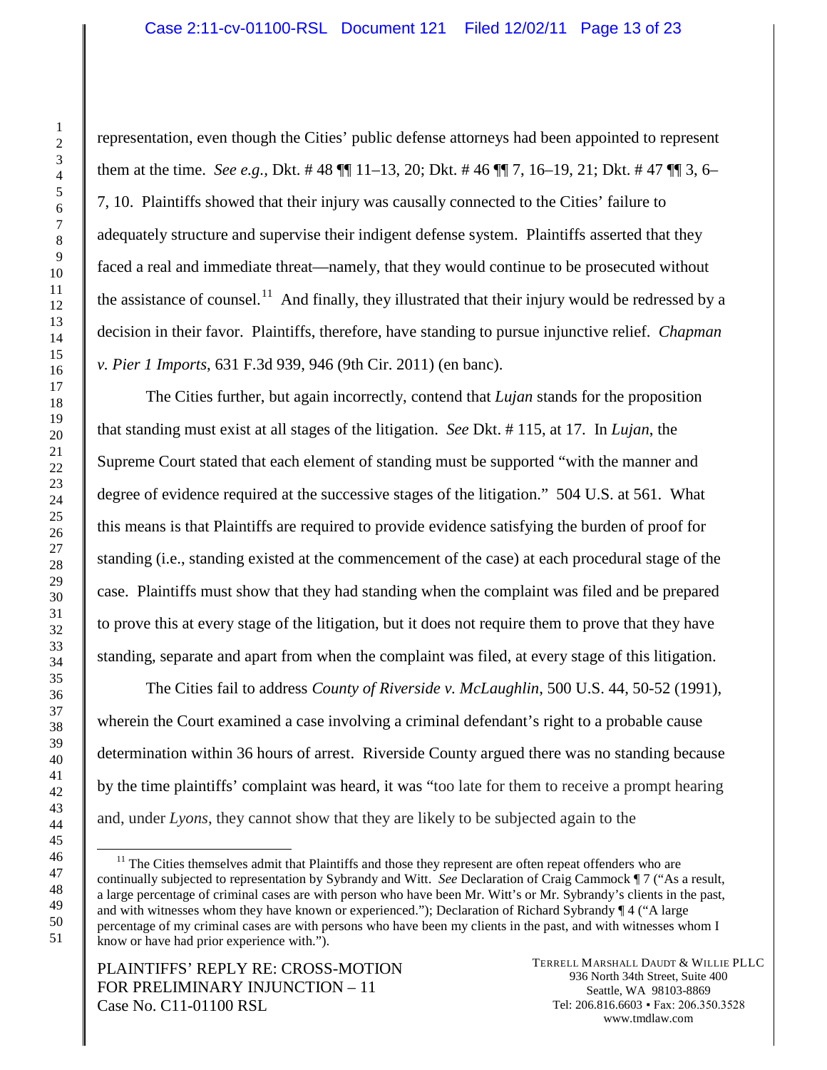representation, even though the Cities' public defense attorneys had been appointed to represent them at the time. *See e.g.,* Dkt. # 48 ¶¶ 11–13, 20; Dkt. # 46 ¶¶ 7, 16–19, 21; Dkt. # 47 ¶¶ 3, 6– 7, 10. Plaintiffs showed that their injury was causally connected to the Cities' failure to adequately structure and supervise their indigent defense system. Plaintiffs asserted that they faced a real and immediate threat—namely, that they would continue to be prosecuted without the assistance of counsel.<sup>[11](#page-12-0)</sup> And finally, they illustrated that their injury would be redressed by a decision in their favor. Plaintiffs, therefore, have standing to pursue injunctive relief. *Chapman v. Pier 1 Imports*, 631 F.3d 939, 946 (9th Cir. 2011) (en banc).

The Cities further, but again incorrectly, contend that *Lujan* stands for the proposition that standing must exist at all stages of the litigation. *See* Dkt. # 115, at 17. In *Lujan*, the Supreme Court stated that each element of standing must be supported "with the manner and degree of evidence required at the successive stages of the litigation." 504 U.S. at 561. What this means is that Plaintiffs are required to provide evidence satisfying the burden of proof for standing (i.e., standing existed at the commencement of the case) at each procedural stage of the case. Plaintiffs must show that they had standing when the complaint was filed and be prepared to prove this at every stage of the litigation, but it does not require them to prove that they have standing, separate and apart from when the complaint was filed, at every stage of this litigation.

The Cities fail to address *County of Riverside v. McLaughlin*, 500 U.S. 44, 50-52 (1991), wherein the Court examined a case involving a criminal defendant's right to a probable cause determination within 36 hours of arrest. Riverside County argued there was no standing because by the time plaintiffs' complaint was heard, it was "too late for them to receive a prompt hearing and, under *Lyons*, they cannot show that they are likely to be subjected again to the

<span id="page-12-0"></span> $11$  The Cities themselves admit that Plaintiffs and those they represent are often repeat offenders who are continually subjected to representation by Sybrandy and Witt. *See* Declaration of Craig Cammock ¶ 7 ("As a result, a large percentage of criminal cases are with person who have been Mr. Witt's or Mr. Sybrandy's clients in the past, and with witnesses whom they have known or experienced."); Declaration of Richard Sybrandy ¶ 4 ("A large percentage of my criminal cases are with persons who have been my clients in the past, and with witnesses whom I know or have had prior experience with.").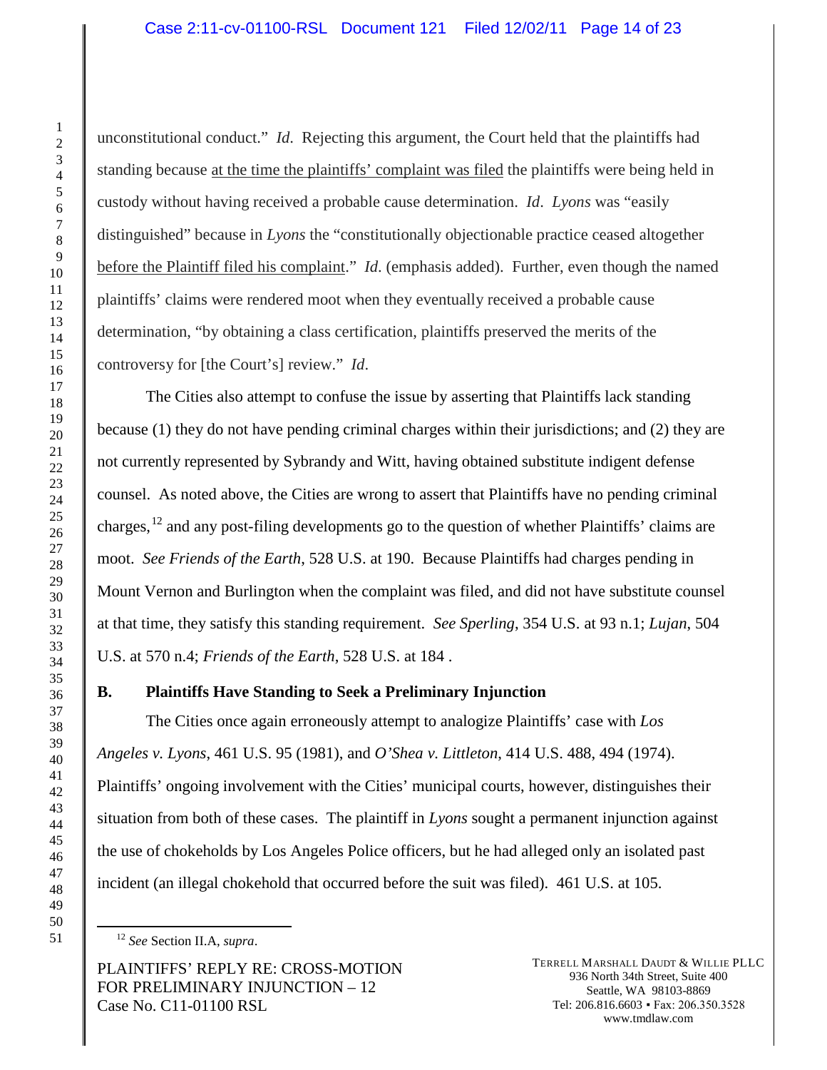unconstitutional conduct." *Id*. Rejecting this argument, the Court held that the plaintiffs had standing because at the time the plaintiffs' complaint was filed the plaintiffs were being held in custody without having received a probable cause determination. *Id*. *Lyons* was "easily distinguished" because in *Lyons* the "constitutionally objectionable practice ceased altogether before the Plaintiff filed his complaint." *Id*. (emphasis added). Further, even though the named plaintiffs' claims were rendered moot when they eventually received a probable cause determination, "by obtaining a class certification, plaintiffs preserved the merits of the controversy for [the Court's] review." *Id*.

The Cities also attempt to confuse the issue by asserting that Plaintiffs lack standing because (1) they do not have pending criminal charges within their jurisdictions; and (2) they are not currently represented by Sybrandy and Witt, having obtained substitute indigent defense counsel. As noted above, the Cities are wrong to assert that Plaintiffs have no pending criminal charges, <sup>[12](#page-13-0)</sup> and any post-filing developments go to the question of whether Plaintiffs' claims are moot. *See Friends of the Earth*, 528 U.S. at 190. Because Plaintiffs had charges pending in Mount Vernon and Burlington when the complaint was filed, and did not have substitute counsel at that time, they satisfy this standing requirement. *See Sperling*, 354 U.S. at 93 n.1; *Lujan*, 504 U.S. at 570 n.4; *Friends of the Earth*, 528 U.S. at 184 .

# **B. Plaintiffs Have Standing to Seek a Preliminary Injunction**

The Cities once again erroneously attempt to analogize Plaintiffs' case with *Los Angeles v. Lyons*, 461 U.S. 95 (1981), and *O'Shea v. Littleton*, 414 U.S. 488, 494 (1974). Plaintiffs' ongoing involvement with the Cities' municipal courts, however, distinguishes their situation from both of these cases. The plaintiff in *Lyons* sought a permanent injunction against the use of chokeholds by Los Angeles Police officers, but he had alleged only an isolated past incident (an illegal chokehold that occurred before the suit was filed). 461 U.S. at 105.

*See* Section II.A, *supra*.

<span id="page-13-0"></span>PLAINTIFFS' REPLY RE: CROSS-MOTION FOR PRELIMINARY INJUNCTION – 12 Case No. C11-01100 RSL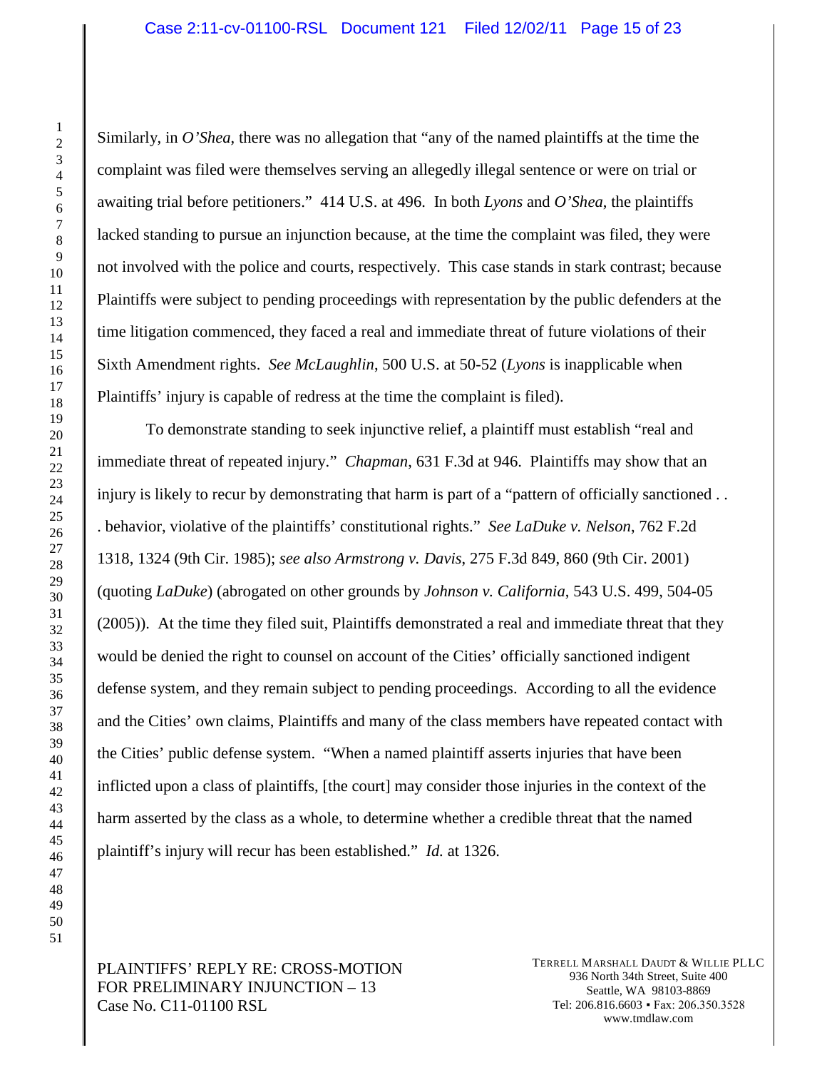Similarly, in *O'Shea*, there was no allegation that "any of the named plaintiffs at the time the complaint was filed were themselves serving an allegedly illegal sentence or were on trial or awaiting trial before petitioners." 414 U.S. at 496. In both *Lyons* and *O'Shea*, the plaintiffs lacked standing to pursue an injunction because, at the time the complaint was filed, they were not involved with the police and courts, respectively. This case stands in stark contrast; because Plaintiffs were subject to pending proceedings with representation by the public defenders at the time litigation commenced, they faced a real and immediate threat of future violations of their Sixth Amendment rights. *See McLaughlin*, 500 U.S. at 50-52 (*Lyons* is inapplicable when Plaintiffs' injury is capable of redress at the time the complaint is filed).

To demonstrate standing to seek injunctive relief, a plaintiff must establish "real and immediate threat of repeated injury." *Chapman*, 631 F.3d at 946. Plaintiffs may show that an injury is likely to recur by demonstrating that harm is part of a "pattern of officially sanctioned . . . behavior, violative of the plaintiffs' constitutional rights." *See LaDuke v. Nelson*, 762 F.2d 1318, 1324 (9th Cir. 1985); *see also Armstrong v. Davis*, 275 F.3d 849, 860 (9th Cir. 2001) (quoting *LaDuke*) (abrogated on other grounds by *Johnson v. California*, 543 U.S. 499, 504-05 (2005)). At the time they filed suit, Plaintiffs demonstrated a real and immediate threat that they would be denied the right to counsel on account of the Cities' officially sanctioned indigent defense system, and they remain subject to pending proceedings. According to all the evidence and the Cities' own claims, Plaintiffs and many of the class members have repeated contact with the Cities' public defense system. "When a named plaintiff asserts injuries that have been inflicted upon a class of plaintiffs, [the court] may consider those injuries in the context of the harm asserted by the class as a whole, to determine whether a credible threat that the named plaintiff's injury will recur has been established." *Id.* at 1326.

# PLAINTIFFS' REPLY RE: CROSS-MOTION FOR PRELIMINARY INJUNCTION – 13 Case No. C11-01100 RSL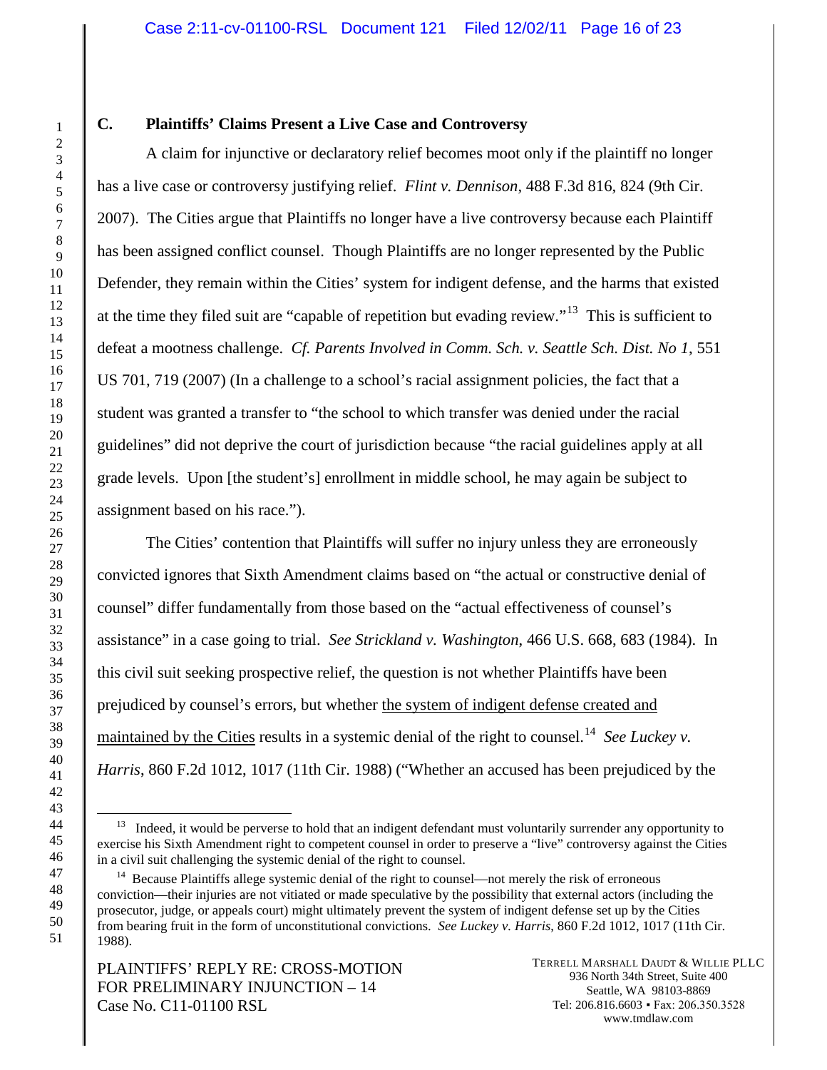## **C. Plaintiffs' Claims Present a Live Case and Controversy**

A claim for injunctive or declaratory relief becomes moot only if the plaintiff no longer has a live case or controversy justifying relief. *Flint v. Dennison*, 488 F.3d 816, 824 (9th Cir. 2007). The Cities argue that Plaintiffs no longer have a live controversy because each Plaintiff has been assigned conflict counsel. Though Plaintiffs are no longer represented by the Public Defender, they remain within the Cities' system for indigent defense, and the harms that existed at the time they filed suit are "capable of repetition but evading review."<sup>[13](#page-15-0)</sup> This is sufficient to defeat a mootness challenge. *Cf. Parents Involved in Comm. Sch. v. Seattle Sch. Dist. No 1*, 551 US 701, 719 (2007) (In a challenge to a school's racial assignment policies, the fact that a student was granted a transfer to "the school to which transfer was denied under the racial guidelines" did not deprive the court of jurisdiction because "the racial guidelines apply at all grade levels. Upon [the student's] enrollment in middle school, he may again be subject to assignment based on his race.").

The Cities' contention that Plaintiffs will suffer no injury unless they are erroneously convicted ignores that Sixth Amendment claims based on "the actual or constructive denial of counsel" differ fundamentally from those based on the "actual effectiveness of counsel's assistance" in a case going to trial. *See Strickland v. Washington*, 466 U.S. 668, 683 (1984). In this civil suit seeking prospective relief, the question is not whether Plaintiffs have been prejudiced by counsel's errors, but whether the system of indigent defense created and maintained by the Cities results in a systemic denial of the right to counsel. [14](#page-15-1) *See Luckey v. Harris*, 860 F.2d 1012, 1017 (11th Cir. 1988) ("Whether an accused has been prejudiced by the

<span id="page-15-0"></span> $<sup>13</sup>$  Indeed, it would be perverse to hold that an indigent defendant must voluntarily surrender any opportunity to</sup> exercise his Sixth Amendment right to competent counsel in order to preserve a "live" controversy against the Cities in a civil suit challenging the systemic denial of the right to counsel.

<span id="page-15-1"></span><sup>&</sup>lt;sup>14</sup> Because Plaintiffs allege systemic denial of the right to counsel—not merely the risk of erroneous conviction—their injuries are not vitiated or made speculative by the possibility that external actors (including the prosecutor, judge, or appeals court) might ultimately prevent the system of indigent defense set up by the Cities from bearing fruit in the form of unconstitutional convictions. *See Luckey v. Harris*, 860 F.2d 1012, 1017 (11th Cir. 1988).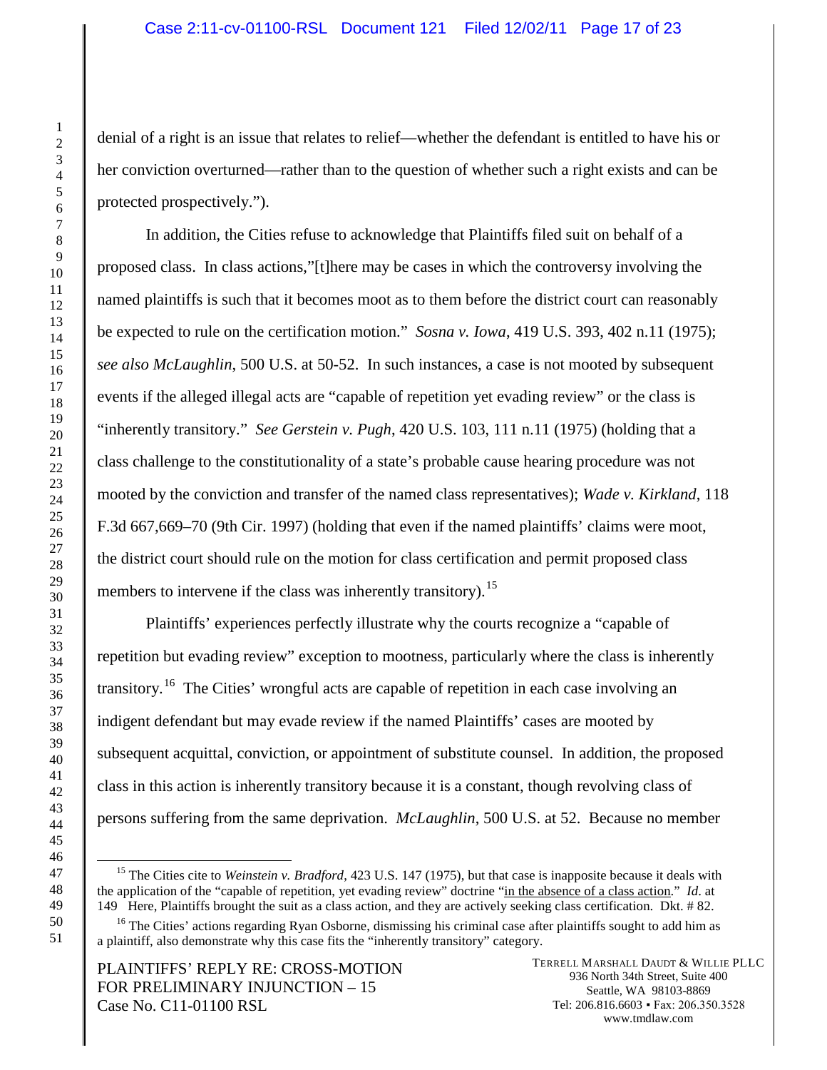denial of a right is an issue that relates to relief—whether the defendant is entitled to have his or her conviction overturned—rather than to the question of whether such a right exists and can be protected prospectively.").

In addition, the Cities refuse to acknowledge that Plaintiffs filed suit on behalf of a proposed class. In class actions,"[t]here may be cases in which the controversy involving the named plaintiffs is such that it becomes moot as to them before the district court can reasonably be expected to rule on the certification motion." *Sosna v. Iowa*, 419 U.S. 393, 402 n.11 (1975); *see also McLaughlin*, 500 U.S. at 50-52. In such instances, a case is not mooted by subsequent events if the alleged illegal acts are "capable of repetition yet evading review" or the class is "inherently transitory." *See Gerstein v. Pugh*, 420 U.S. 103, 111 n.11 (1975) (holding that a class challenge to the constitutionality of a state's probable cause hearing procedure was not mooted by the conviction and transfer of the named class representatives); *Wade v. Kirkland*, 118 F.3d 667,669–70 (9th Cir. 1997) (holding that even if the named plaintiffs' claims were moot, the district court should rule on the motion for class certification and permit proposed class members to intervene if the class was inherently transitory).<sup>[15](#page-16-0)</sup>

Plaintiffs' experiences perfectly illustrate why the courts recognize a "capable of repetition but evading review" exception to mootness, particularly where the class is inherently transitory.<sup>[16](#page-16-1)</sup> The Cities' wrongful acts are capable of repetition in each case involving an indigent defendant but may evade review if the named Plaintiffs' cases are mooted by subsequent acquittal, conviction, or appointment of substitute counsel. In addition, the proposed class in this action is inherently transitory because it is a constant, though revolving class of persons suffering from the same deprivation. *McLaughlin*, 500 U.S. at 52. Because no member

PLAINTIFFS' REPLY RE: CROSS-MOTION FOR PRELIMINARY INJUNCTION – 15 Case No. C11-01100 RSL

<span id="page-16-0"></span><sup>&</sup>lt;sup>15</sup> The Cities cite to *Weinstein v. Bradford*, 423 U.S. 147 (1975), but that case is inapposite because it deals with the application of the "capable of repetition, yet evading review" doctrine "in the absence of a class action." *Id*. at 149 Here, Plaintiffs brought the suit as a class action, and they are actively seeking class certification. Dkt. # 82.

<span id="page-16-1"></span> $16$  The Cities' actions regarding Ryan Osborne, dismissing his criminal case after plaintiffs sought to add him as a plaintiff, also demonstrate why this case fits the "inherently transitory" category.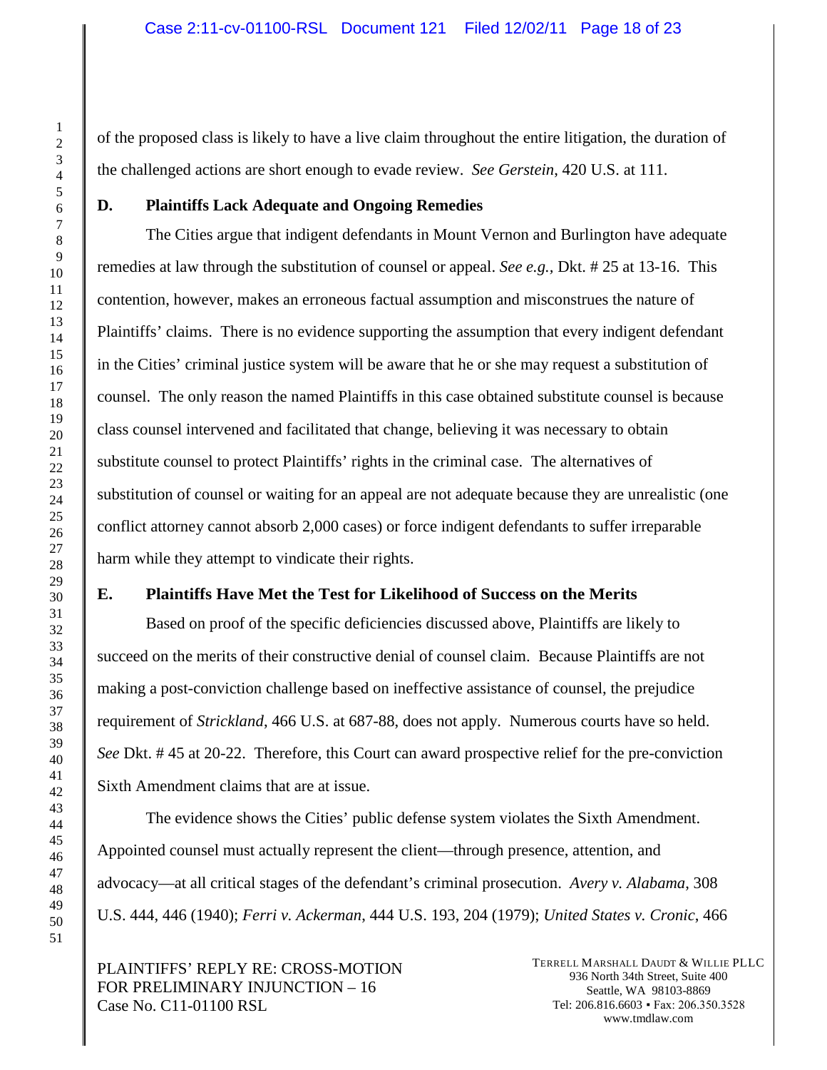of the proposed class is likely to have a live claim throughout the entire litigation, the duration of the challenged actions are short enough to evade review. *See Gerstein*, 420 U.S. at 111.

#### **D. Plaintiffs Lack Adequate and Ongoing Remedies**

The Cities argue that indigent defendants in Mount Vernon and Burlington have adequate remedies at law through the substitution of counsel or appeal. *See e.g.,* Dkt. # 25 at 13-16. This contention, however, makes an erroneous factual assumption and misconstrues the nature of Plaintiffs' claims. There is no evidence supporting the assumption that every indigent defendant in the Cities' criminal justice system will be aware that he or she may request a substitution of counsel. The only reason the named Plaintiffs in this case obtained substitute counsel is because class counsel intervened and facilitated that change, believing it was necessary to obtain substitute counsel to protect Plaintiffs' rights in the criminal case. The alternatives of substitution of counsel or waiting for an appeal are not adequate because they are unrealistic (one conflict attorney cannot absorb 2,000 cases) or force indigent defendants to suffer irreparable harm while they attempt to vindicate their rights.

# **E. Plaintiffs Have Met the Test for Likelihood of Success on the Merits**

Based on proof of the specific deficiencies discussed above, Plaintiffs are likely to succeed on the merits of their constructive denial of counsel claim. Because Plaintiffs are not making a post-conviction challenge based on ineffective assistance of counsel, the prejudice requirement of *Strickland*, 466 U.S. at 687-88, does not apply. Numerous courts have so held. *See* Dkt. # 45 at 20-22. Therefore, this Court can award prospective relief for the pre-conviction Sixth Amendment claims that are at issue.

The evidence shows the Cities' public defense system violates the Sixth Amendment. Appointed counsel must actually represent the client—through presence, attention, and advocacy—at all critical stages of the defendant's criminal prosecution. *Avery v. Alabama*, 308 U.S. 444, 446 (1940); *Ferri v. Ackerman*, 444 U.S. 193, 204 (1979); *United States v. Cronic*, 466

PLAINTIFFS' REPLY RE: CROSS-MOTION FOR PRELIMINARY INJUNCTION – 16 Case No. C11-01100 RSL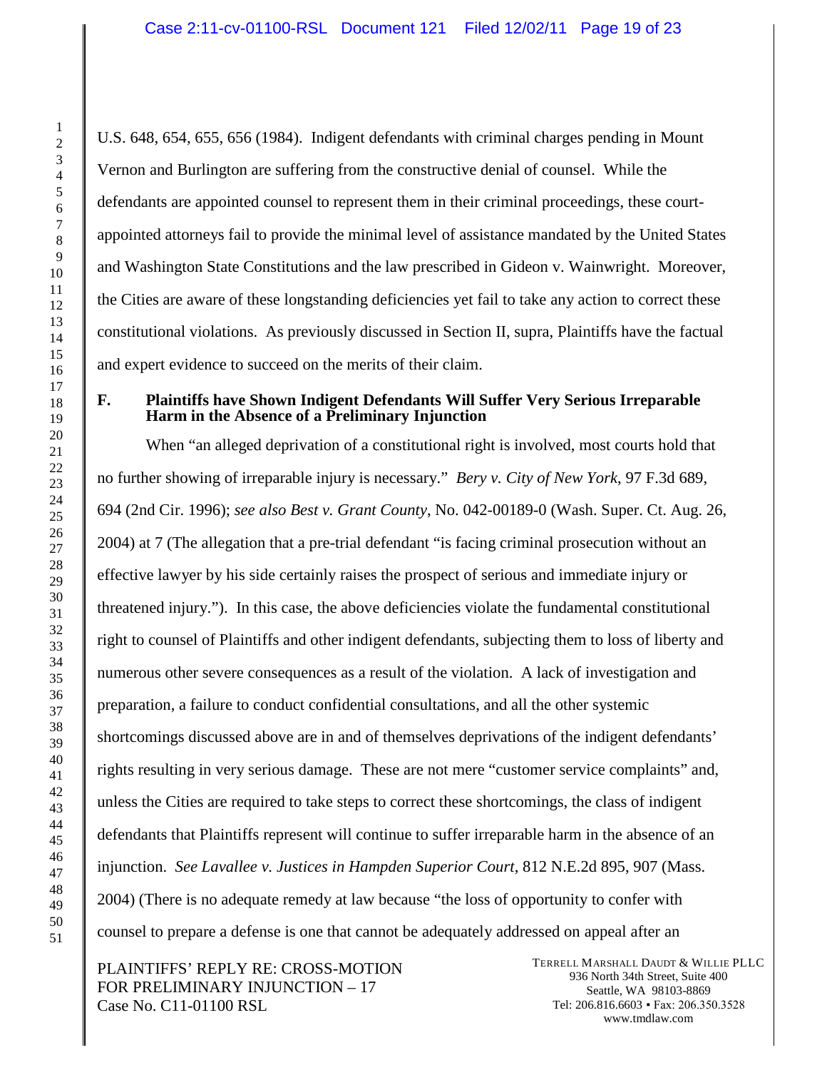U.S. 648, 654, 655, 656 (1984). Indigent defendants with criminal charges pending in Mount Vernon and Burlington are suffering from the constructive denial of counsel. While the defendants are appointed counsel to represent them in their criminal proceedings, these courtappointed attorneys fail to provide the minimal level of assistance mandated by the United States and Washington State Constitutions and the law prescribed in Gideon v. Wainwright. Moreover, the Cities are aware of these longstanding deficiencies yet fail to take any action to correct these constitutional violations. As previously discussed in Section II, supra, Plaintiffs have the factual and expert evidence to succeed on the merits of their claim.

### **F. Plaintiffs have Shown Indigent Defendants Will Suffer Very Serious Irreparable Harm in the Absence of a Preliminary Injunction**

When "an alleged deprivation of a constitutional right is involved, most courts hold that no further showing of irreparable injury is necessary." *Bery v. City of New York*, 97 F.3d 689, 694 (2nd Cir. 1996); *see also Best v. Grant County*, No. 042-00189-0 (Wash. Super. Ct. Aug. 26, 2004) at 7 (The allegation that a pre-trial defendant "is facing criminal prosecution without an effective lawyer by his side certainly raises the prospect of serious and immediate injury or threatened injury."). In this case, the above deficiencies violate the fundamental constitutional right to counsel of Plaintiffs and other indigent defendants, subjecting them to loss of liberty and numerous other severe consequences as a result of the violation. A lack of investigation and preparation, a failure to conduct confidential consultations, and all the other systemic shortcomings discussed above are in and of themselves deprivations of the indigent defendants' rights resulting in very serious damage. These are not mere "customer service complaints" and, unless the Cities are required to take steps to correct these shortcomings, the class of indigent defendants that Plaintiffs represent will continue to suffer irreparable harm in the absence of an injunction. *See Lavallee v. Justices in Hampden Superior Court*, 812 N.E.2d 895, 907 (Mass. 2004) (There is no adequate remedy at law because "the loss of opportunity to confer with counsel to prepare a defense is one that cannot be adequately addressed on appeal after an

PLAINTIFFS' REPLY RE: CROSS-MOTION FOR PRELIMINARY INJUNCTION – 17 Case No. C11-01100 RSL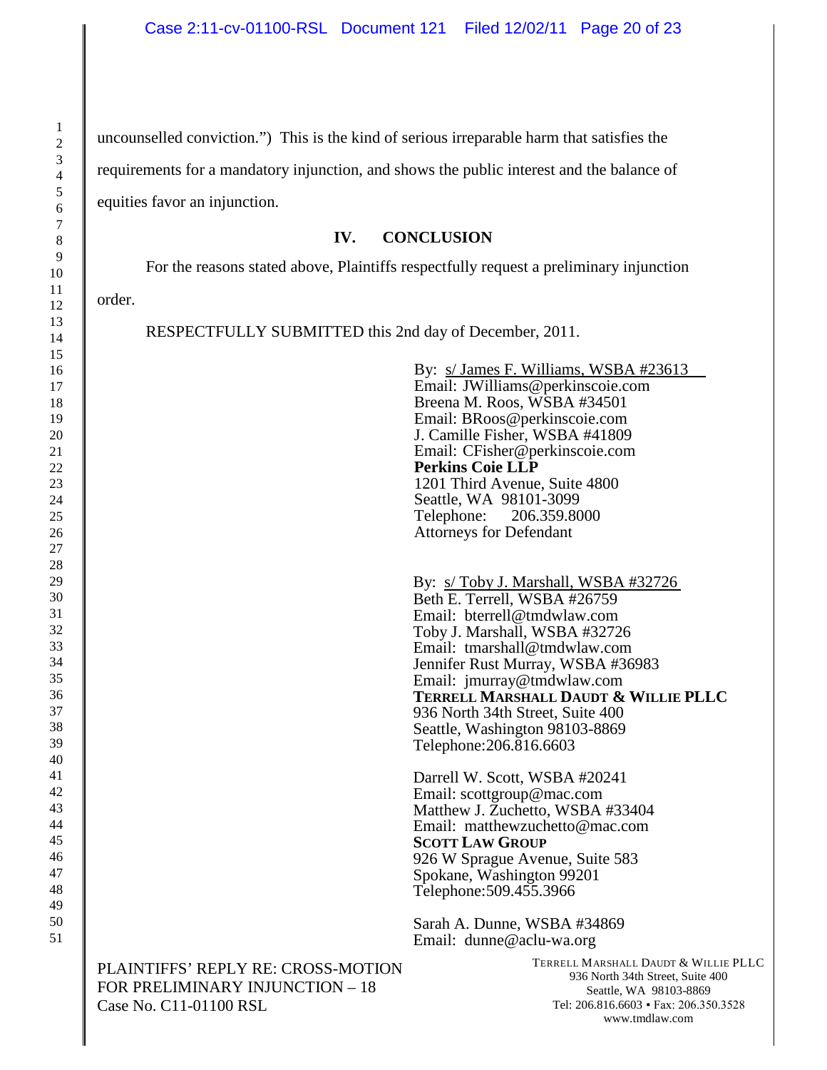uncounselled conviction.") This is the kind of serious irreparable harm that satisfies the

requirements for a mandatory injunction, and shows the public interest and the balance of

equities favor an injunction.

### **IV. CONCLUSION**

For the reasons stated above, Plaintiffs respectfully request a preliminary injunction

order.

RESPECTFULLY SUBMITTED this 2nd day of December, 2011.

|                                                                                                 | By: s/ James F. Williams, WSBA #23613<br>Email: JWilliams@perkinscoie.com<br>Breena M. Roos, WSBA #34501<br>Email: BRoos@perkinscoie.com<br>J. Camille Fisher, WSBA #41809<br>Email: CFisher@perkinscoie.com<br><b>Perkins Coie LLP</b><br>1201 Third Avenue, Suite 4800<br>Seattle, WA 98101-3099<br>Telephone:<br>206.359.8000<br><b>Attorneys for Defendant</b>              |
|-------------------------------------------------------------------------------------------------|---------------------------------------------------------------------------------------------------------------------------------------------------------------------------------------------------------------------------------------------------------------------------------------------------------------------------------------------------------------------------------|
|                                                                                                 | By: s/Toby J. Marshall, WSBA #32726<br>Beth E. Terrell, WSBA #26759<br>Email: bterrell@tmdwlaw.com<br>Toby J. Marshall, WSBA #32726<br>Email: tmarshall@tmdwlaw.com<br>Jennifer Rust Murray, WSBA #36983<br>Email: jmurray@tmdwlaw.com<br>TERRELL MARSHALL DAUDT & WILLIE PLLC<br>936 North 34th Street, Suite 400<br>Seattle, Washington 98103-8869<br>Telephone: 206.816.6603 |
|                                                                                                 | Darrell W. Scott, WSBA #20241<br>Email: scottgroup@mac.com<br>Matthew J. Zuchetto, WSBA #33404<br>Email: matthewzuchetto@mac.com<br><b>SCOTT LAW GROUP</b><br>926 W Sprague Avenue, Suite 583<br>Spokane, Washington 99201<br>Telephone: 509.455.3966                                                                                                                           |
|                                                                                                 | Sarah A. Dunne, WSBA #34869<br>Email: dunne@aclu-wa.org                                                                                                                                                                                                                                                                                                                         |
| PLAINTIFFS' REPLY RE: CROSS-MOTION<br>FOR PRELIMINARY INJUNCTION - 18<br>Case No. C11-01100 RSL | TERRELL MARSHALL DAUDT & WILLIE PLLC<br>936 North 34th Street, Suite 400<br>Seattle, WA 98103-8869<br>Tel: 206.816.6603 • Fax: 206.350.3528<br>www.tmdlaw.com                                                                                                                                                                                                                   |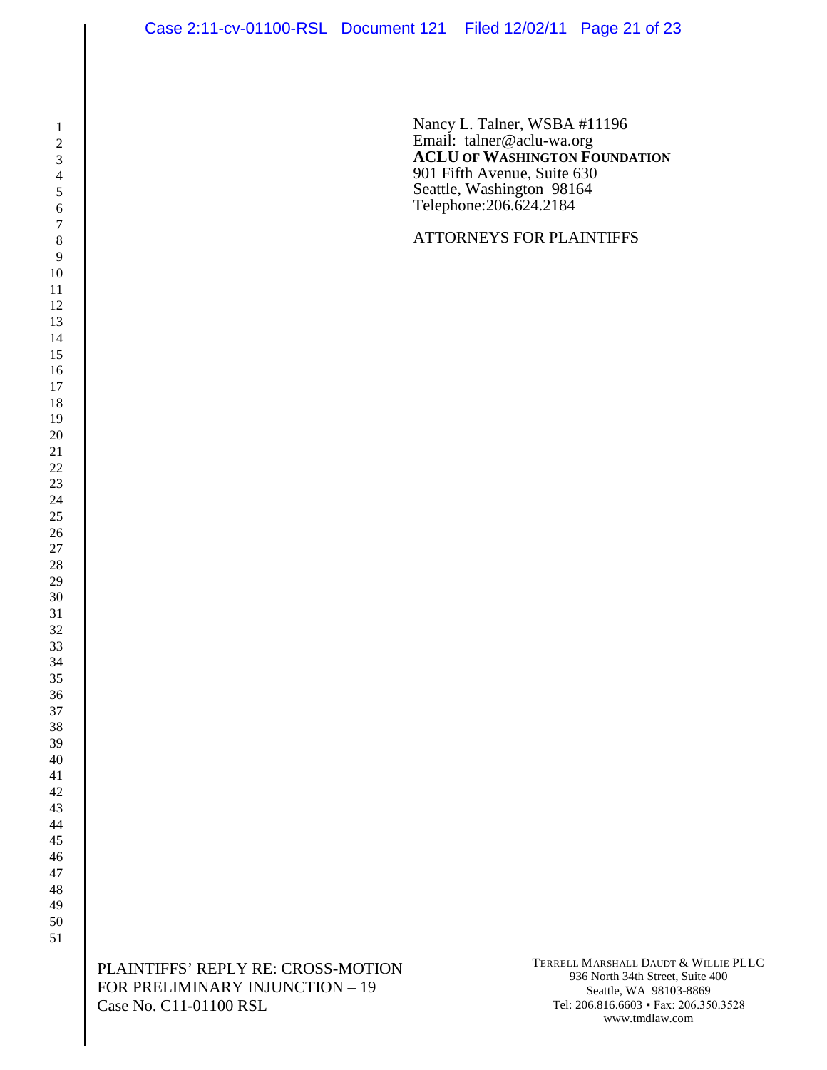Nancy L. Talner, WSBA #11196 Email: talner@aclu-wa.org **ACLU OF WASHINGTON FOUNDATION** 901 Fifth Avenue, Suite 630 Seattle, Washington 98164 Telephone:206.624.2184

### ATTORNEYS FOR PLAINTIFFS

PLAINTIFFS' REPLY RE: CROSS-MOTION FOR PRELIMINARY INJUNCTION – 19 Case No. C11-01100 RSL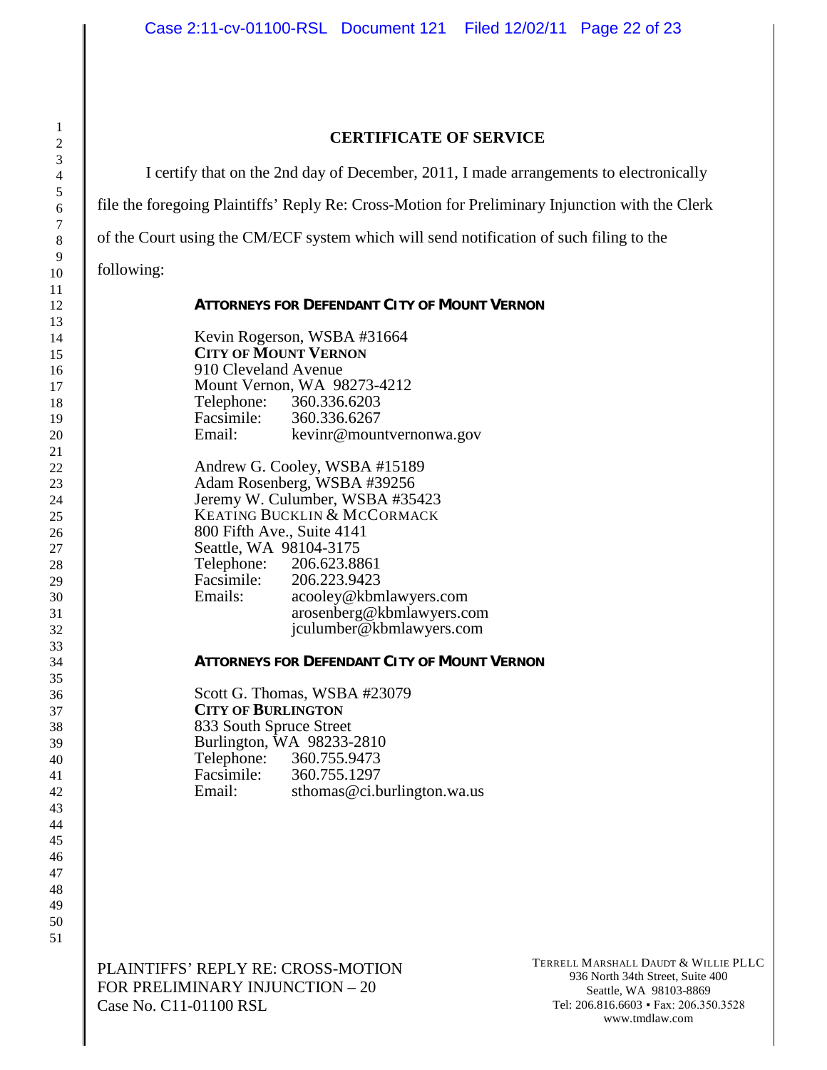#### **CERTIFICATE OF SERVICE**

I certify that on the 2nd day of December, 2011, I made arrangements to electronically

file the foregoing Plaintiffs' Reply Re: Cross-Motion for Preliminary Injunction with the Clerk

of the Court using the CM/ECF system which will send notification of such filing to the

following:

| <b>ATTORNEYS FOR DEFENDANT CITY OF MOUNT VERNON</b>        |  |
|------------------------------------------------------------|--|
| Kevin Rogerson, WSBA #31664<br><b>CITY OF MOUNT VERNON</b> |  |

**CITY OF MOUNT VERNON** 910 Cleveland Avenue Mount Vernon, WA 98273-4212 Telephone: 360.336.6203<br>Facsimile: 360.336.6267 Facsimile: 360.336.6267<br>Email: keving@moun kevinr@mountvernonwa.gov

Andrew G. Cooley, WSBA #15189 Adam Rosenberg, WSBA #39256 Jeremy W. Culumber, WSBA #35423 KEATING BUCKLIN & MCCORMACK 800 Fifth Ave., Suite 4141 Seattle, WA 98104-3175<br>Telephone: 206.623.88 Telephone: 206.623.8861<br>Facsimile: 206.223.9423 Facsimile: 206.223.9423<br>Emails: acoolev@kbm acooley@kbmlawyers.com arosenberg@kbmlawyers.com jculumber@kbmlawyers.com

#### **ATTORNEYS FOR DEFENDANT CITY OF MOUNT VERNON**

Scott G. Thomas, WSBA #23079 **CITY OF BURLINGTON** 833 South Spruce Street Burlington, WA 98233-2810 Telephone: 360.755.9473<br>Facsimile: 360.755.1297 Facsimile:<br>Email: sthomas@ci.burlington.wa.us

PLAINTIFFS' REPLY RE: CROSS-MOTION FOR PRELIMINARY INJUNCTION – 20 Case No. C11-01100 RSL